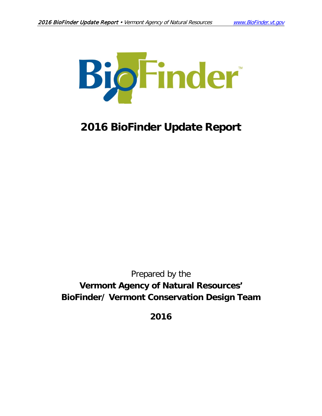

# **2016 BioFinder Update Report**

# Prepared by the **Vermont Agency of Natural Resources' BioFinder/ Vermont Conservation Design Team**

**2016**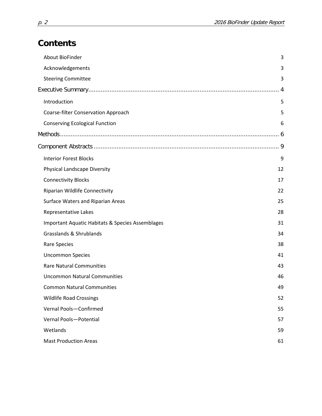# **Contents**

| About BioFinder                                  | 3  |
|--------------------------------------------------|----|
| Acknowledgements                                 | 3  |
| <b>Steering Committee</b>                        | 3  |
|                                                  |    |
| Introduction                                     | 5  |
| Coarse-filter Conservation Approach              | 5  |
| <b>Conserving Ecological Function</b>            | 6  |
|                                                  |    |
|                                                  |    |
| <b>Interior Forest Blocks</b>                    | 9  |
| Physical Landscape Diversity                     | 12 |
| <b>Connectivity Blocks</b>                       | 17 |
| Riparian Wildlife Connectivity                   | 22 |
| Surface Waters and Riparian Areas                | 25 |
| Representative Lakes                             | 28 |
| Important Aquatic Habitats & Species Assemblages | 31 |
| Grasslands & Shrublands                          | 34 |
| Rare Species                                     | 38 |
| <b>Uncommon Species</b>                          | 41 |
| <b>Rare Natural Communities</b>                  | 43 |
| <b>Uncommon Natural Communities</b>              | 46 |
| <b>Common Natural Communities</b>                | 49 |
| <b>Wildlife Road Crossings</b>                   | 52 |
| Vernal Pools-Confirmed                           | 55 |
| Vernal Pools-Potential                           | 57 |
| Wetlands                                         | 59 |
| <b>Mast Production Areas</b>                     | 61 |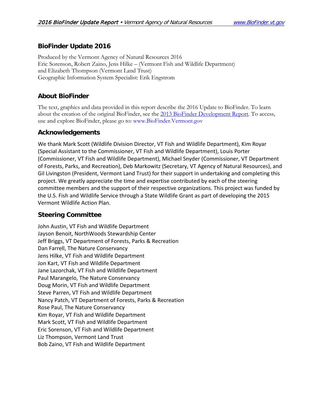# **BioFinder Update 2016**

Produced by the Vermont Agency of Natural Resources 2016 Eric Sorenson, Robert Zaino, Jens Hilke – (Vermont Fish and Wildlife Department) and Elizabeth Thompson (Vermont Land Trust) Geographic Information System Specialist: Erik Engstrom

# <span id="page-2-0"></span>**About BioFinder**

The text, graphics and data provided in this report describe the 2016 Update to BioFinder. To learn about the creation of the original BioFinder, see the [2013 BioFinder Development Report.](http://anr.vermont.gov/sites/anr/files/maps/biofinder/BioFinderDevelopmentReport_2013.pdf) To access, use and explore BioFinder, please go to: www.BioFinder.Vermont.gov

# <span id="page-2-1"></span>**Acknowledgements**

We thank Mark Scott (Wildlife Division Director, VT Fish and Wildlife Department), Kim Royar (Special Assistant to the Commissioner, VT Fish and Wildlife Department), Louis Porter (Commissioner, VT Fish and Wildlife Department), Michael Snyder (Commissioner, VT Department of Forests, Parks, and Recreation), Deb Markowitz (Secretary, VT Agency of Natural Resources), and Gil Livingston (President, Vermont Land Trust) for their support in undertaking and completing this project. We greatly appreciate the time and expertise contributed by each of the steering committee members and the support of their respective organizations. This project was funded by the U.S. Fish and Wildlife Service through a State Wildlife Grant as part of developing the 2015 Vermont Wildlife Action Plan.

# <span id="page-2-2"></span>**Steering Committee**

<span id="page-2-3"></span>John Austin, VT Fish and Wildlife Department Jayson Benoit, NorthWoods Stewardship Center Jeff Briggs, VT Department of Forests, Parks & Recreation Dan Farrell, The Nature Conservancy Jens Hilke, VT Fish and Wildlife Department Jon Kart, VT Fish and Wildlife Department Jane Lazorchak, VT Fish and Wildlife Department Paul Marangelo, The Nature Conservancy Doug Morin, VT Fish and Wildlife Department Steve Parren, VT Fish and Wildlife Department Nancy Patch, VT Department of Forests, Parks & Recreation Rose Paul, The Nature Conservancy Kim Royar, VT Fish and Wildlife Department Mark Scott, VT Fish and Wildlife Department Eric Sorenson, VT Fish and Wildlife Department Liz Thompson, Vermont Land Trust Bob Zaino, VT Fish and Wildlife Department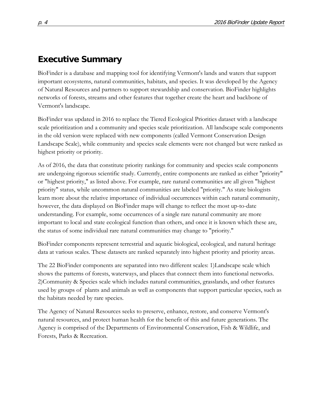# **Executive Summary**

BioFinder is a database and mapping tool for identifying Vermont's lands and waters that support important ecosystems, natural communities, habitats, and species. It was developed by the Agency of Natural Resources and partners to support stewardship and conservation. BioFinder highlights networks of forests, streams and other features that together create the heart and backbone of Vermont's landscape.

BioFinder was updated in 2016 to replace the Tiered Ecological Priorities dataset with a landscape scale prioritization and a community and species scale prioritization. All landscape scale components in the old version were replaced with new components (called Vermont Conservation Design Landscape Scale), while community and species scale elements were not changed but were ranked as highest priority or priority.

As of 2016, the data that constitute priority rankings for community and species scale components are undergoing rigorous scientific study. Currently, entire components are ranked as either "priority" or "highest priority," as listed above. For example, rare natural communities are all given "highest priority" status, while uncommon natural communities are labeled "priority." As state biologists learn more about the relative importance of individual occurrences within each natural community, however, the data displayed on BioFinder maps will change to reflect the most up-to-date understanding. For example, some occurrences of a single rare natural community are more important to local and state ecological function than others, and once it is known which these are, the status of some individual rare natural communities may change to "priority."

BioFinder components represent terrestrial and aquatic biological, ecological, and natural heritage data at various scales. These datasets are ranked separately into highest priority and priority areas.

The 22 BioFinder components are separated into two different scales: 1)Landscape scale which shows the patterns of forests, waterways, and places that connect them into functional networks. 2)Community & Species scale which includes natural communities, grasslands, and other features used by groups of plants and animals as well as components that support particular species, such as the habitats needed by rare species.

The Agency of Natural Resources seeks to preserve, enhance, restore, and conserve Vermont's natural resources, and protect human health for the benefit of this and future generations. The Agency is comprised of the Departments of Environmental Conservation, Fish & Wildlife, and Forests, Parks & Recreation.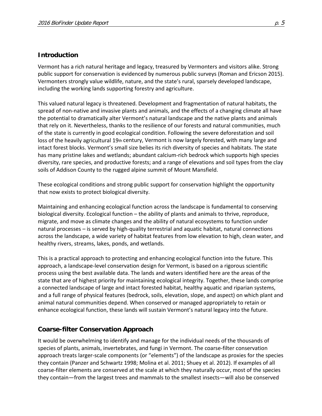### <span id="page-4-0"></span>**Introduction**

Vermont has a rich natural heritage and legacy, treasured by Vermonters and visitors alike. Strong public support for conservation is evidenced by numerous public surveys (Roman and Ericson 2015). Vermonters strongly value wildlife, nature, and the state's rural, sparsely developed landscape, including the working lands supporting forestry and agriculture.

This valued natural legacy is threatened. Development and fragmentation of natural habitats, the spread of non-native and invasive plants and animals, and the effects of a changing climate all have the potential to dramatically alter Vermont's natural landscape and the native plants and animals that rely on it. Nevertheless, thanks to the resilience of our forests and natural communities, much of the state is currently in good ecological condition. Following the severe deforestation and soil loss of the heavily agricultural 19th century, Vermont is now largely forested, with many large and intact forest blocks. Vermont's small size belies its rich diversity of species and habitats. The state has many pristine lakes and wetlands; abundant calcium-rich bedrock which supports high species diversity, rare species, and productive forests; and a range of elevations and soil types from the clay soils of Addison County to the rugged alpine summit of Mount Mansfield.

These ecological conditions and strong public support for conservation highlight the opportunity that now exists to protect biological diversity.

Maintaining and enhancing ecological function across the landscape is fundamental to conserving biological diversity. Ecological function – the ability of plants and animals to thrive, reproduce, migrate, and move as climate changes and the ability of natural ecosystems to function under natural processes – is served by high-quality terrestrial and aquatic habitat, natural connections across the landscape, a wide variety of habitat features from low elevation to high, clean water, and healthy rivers, streams, lakes, ponds, and wetlands.

This is a practical approach to protecting and enhancing ecological function into the future. This approach, a landscape-level conservation design for Vermont, is based on a rigorous scientific process using the best available data. The lands and waters identified here are the areas of the state that are of highest priority for maintaining ecological integrity. Together, these lands comprise a connected landscape of large and intact forested habitat, healthy aquatic and riparian systems, and a full range of physical features (bedrock, soils, elevation, slope, and aspect) on which plant and animal natural communities depend. When conserved or managed appropriately to retain or enhance ecological function, these lands will sustain Vermont's natural legacy into the future.

# <span id="page-4-1"></span>**Coarse-filter Conservation Approach**

It would be overwhelming to identify and manage for the individual needs of the thousands of species of plants, animals, invertebrates, and fungi in Vermont. The coarse-filter conservation approach treats larger-scale components (or "elements") of the landscape as proxies for the species they contain (Panzer and Schwartz 1998; Molina et al. 2011; Shuey et al. 2012). If examples of all coarse-filter elements are conserved at the scale at which they naturally occur, most of the species they contain—from the largest trees and mammals to the smallest insects—will also be conserved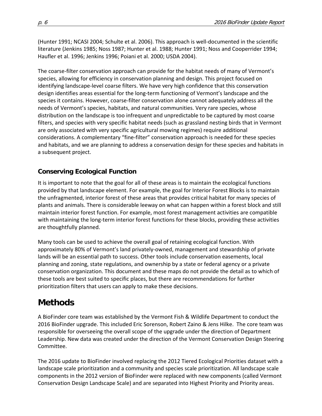(Hunter 1991; NCASI 2004; Schulte et al. 2006). This approach is well-documented in the scientific literature (Jenkins 1985; Noss 1987; Hunter et al. 1988; Hunter 1991; Noss and Cooperrider 1994; Haufler et al. 1996; Jenkins 1996; Poiani et al. 2000; USDA 2004).

The coarse-filter conservation approach can provide for the habitat needs of many of Vermont's species, allowing for efficiency in conservation planning and design. This project focused on identifying landscape-level coarse filters. We have very high confidence that this conservation design identifies areas essential for the long-term functioning of Vermont's landscape and the species it contains. However, coarse-filter conservation alone cannot adequately address all the needs of Vermont's species, habitats, and natural communities. Very rare species, whose distribution on the landscape is too infrequent and unpredictable to be captured by most coarse filters, and species with very specific habitat needs (such as grassland nesting birds that in Vermont are only associated with very specific agricultural mowing regimes) require additional considerations. A complementary "fine-filter" conservation approach is needed for these species and habitats, and we are planning to address a conservation design for these species and habitats in a subsequent project.

# <span id="page-5-0"></span>**Conserving Ecological Function**

It is important to note that the goal for all of these areas is to maintain the ecological functions provided by that landscape element. For example, the goal for Interior Forest Blocks is to maintain the unfragmented, interior forest of these areas that provides critical habitat for many species of plants and animals. There is considerable leeway on what can happen within a forest block and still maintain interior forest function. For example, most forest management activities are compatible with maintaining the long-term interior forest functions for these blocks, providing these activities are thoughtfully planned.

Many tools can be used to achieve the overall goal of retaining ecological function. With approximately 80% of Vermont's land privately-owned, management and stewardship of private lands will be an essential path to success. Other tools include conservation easements, local planning and zoning, state regulations, and ownership by a state or federal agency or a private conservation organization. This document and these maps do not provide the detail as to which of these tools are best suited to specific places, but there are recommendations for further prioritization filters that users can apply to make these decisions.

# <span id="page-5-1"></span>**Methods**

A BioFinder core team was established by the Vermont Fish & Wildlife Department to conduct the 2016 BioFinder upgrade. This included Eric Sorenson, Robert Zaino & Jens Hilke. The core team was responsible for overseeing the overall scope of the upgrade under the direction of Department Leadership. New data was created under the direction of the Vermont Conservation Design Steering Committee.

The 2016 update to BioFinder involved replacing the 2012 Tiered Ecological Priorities dataset with a landscape scale prioritization and a community and species scale prioritization. All landscape scale components in the 2012 version of BioFinder were replaced with new components (called Vermont Conservation Design Landscape Scale) and are separated into Highest Priority and Priority areas.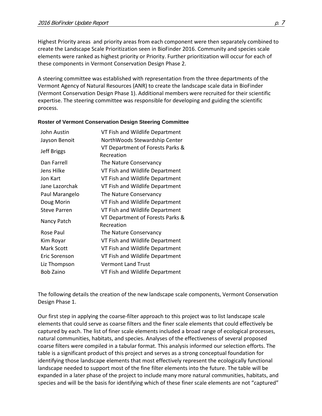Highest Priority areas and priority areas from each component were then separately combined to create the Landscape Scale Prioritization seen in BioFinder 2016. Community and species scale elements were ranked as highest priority or Priority. Further prioritization will occur for each of these components in Vermont Conservation Design Phase 2.

A steering committee was established with representation from the three departments of the Vermont Agency of Natural Resources (ANR) to create the landscape scale data in BioFinder (Vermont Conservation Design Phase 1). Additional members were recruited for their scientific expertise. The steering committee was responsible for developing and guiding the scientific process.

| John Austin         | VT Fish and Wildlife Department                |  |  |
|---------------------|------------------------------------------------|--|--|
| Jayson Benoit       | NorthWoods Stewardship Center                  |  |  |
| <b>Jeff Briggs</b>  | VT Department of Forests Parks &<br>Recreation |  |  |
| Dan Farrell         | The Nature Conservancy                         |  |  |
| Jens Hilke          | VT Fish and Wildlife Department                |  |  |
| Jon Kart            | VT Fish and Wildlife Department                |  |  |
| Jane Lazorchak      | VT Fish and Wildlife Department                |  |  |
| Paul Marangelo      | The Nature Conservancy                         |  |  |
| Doug Morin          | VT Fish and Wildlife Department                |  |  |
| <b>Steve Parren</b> | VT Fish and Wildlife Department                |  |  |
| Nancy Patch         | VT Department of Forests Parks &<br>Recreation |  |  |
| Rose Paul           | The Nature Conservancy                         |  |  |
| Kim Royar           | VT Fish and Wildlife Department                |  |  |
| Mark Scott          | VT Fish and Wildlife Department                |  |  |
| Eric Sorenson       | VT Fish and Wildlife Department                |  |  |
| Liz Thompson        | <b>Vermont Land Trust</b>                      |  |  |
| Bob Zaino           | VT Fish and Wildlife Department                |  |  |

#### **Roster of Vermont Conservation Design Steering Committee**

The following details the creation of the new landscape scale components, Vermont Conservation Design Phase 1.

Our first step in applying the coarse-filter approach to this project was to list landscape scale elements that could serve as coarse filters and the finer scale elements that could effectively be captured by each. The list of finer scale elements included a broad range of ecological processes, natural communities, habitats, and species. Analyses of the effectiveness of several proposed coarse filters were compiled in a tabular format. This analysis informed our selection efforts. The table is a significant product of this project and serves as a strong conceptual foundation for identifying those landscape elements that most effectively represent the ecologically functional landscape needed to support most of the fine filter elements into the future. The table will be expanded in a later phase of the project to include many more natural communities, habitats, and species and will be the basis for identifying which of these finer scale elements are not "captured"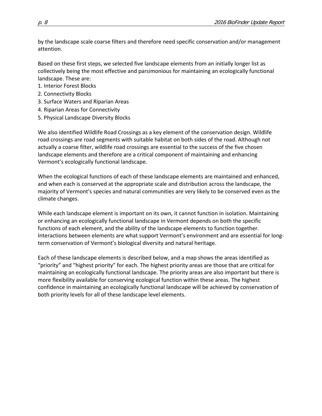by the landscape scale coarse filters and therefore need specific conservation and/or management attention.

Based on these first steps, we selected five landscape elements from an initially longer list as collectively being the most effective and parsimonious for maintaining an ecologically functional landscape. These are:

- 1. Interior Forest Blocks
- 2. Connectivity Blocks
- 3. Surface Waters and Riparian Areas
- 4. Riparian Areas for Connectivity
- 5. Physical Landscape Diversity Blocks

We also identified Wildlife Road Crossings as a key element of the conservation design. Wildlife road crossings are road segments with suitable habitat on both sides of the road. Although not actually a coarse filter, wildlife road crossings are essential to the success of the five chosen landscape elements and therefore are a critical component of maintaining and enhancing Vermont's ecologically functional landscape.

When the ecological functions of each of these landscape elements are maintained and enhanced, and when each is conserved at the appropriate scale and distribution across the landscape, the majority of Vermont's species and natural communities are very likely to be conserved even as the climate changes.

While each landscape element is important on its own, it cannot function in isolation. Maintaining or enhancing an ecologically functional landscape in Vermont depends on both the specific functions of each element, and the ability of the landscape elements to function together. Interactions between elements are what support Vermont's environment and are essential for longterm conservation of Vermont's biological diversity and natural heritage.

<span id="page-7-0"></span>Each of these landscape elements is described below, and a map shows the areas identified as "priority" and "highest priority" for each. The highest priority areas are those that are critical for maintaining an ecologically functional landscape. The priority areas are also important but there is more flexibility available for conserving ecological function within these areas. The highest confidence in maintaining an ecologically functional landscape will be achieved by conservation of both priority levels for all of these landscape level elements.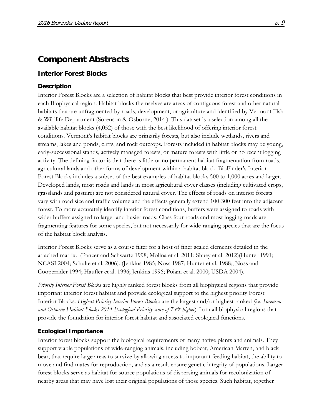# **Component Abstracts**

### <span id="page-8-0"></span>**Interior Forest Blocks**

#### **Description**

Interior Forest Blocks are a selection of habitat blocks that best provide interior forest conditions in each Biophysical region. Habitat blocks themselves are areas of contiguous forest and other natural habitats that are unfragmented by roads, development, or agriculture and identified by Vermont Fish & Wildlife Department (Sorenson & Osborne, 2014.). This dataset is a selection among all the available habitat blocks (4,052) of those with the best likelihood of offering interior forest conditions. Vermont's habitat blocks are primarily forests, but also include wetlands, rivers and streams, lakes and ponds, cliffs, and rock outcrops. Forests included in habitat blocks may be young, early-successional stands, actively managed forests, or mature forests with little or no recent logging activity. The defining factor is that there is little or no permanent habitat fragmentation from roads, agricultural lands and other forms of development within a habitat block. BioFinder's Interior Forest Blocks includes a subset of the best examples of habitat blocks 500 to 1,000 acres and larger. Developed lands, most roads and lands in most agricultural cover classes (including cultivated crops, grasslands and pasture) are not considered natural cover. The effects of roads on interior forests vary with road size and traffic volume and the effects generally extend 100-300 feet into the adjacent forest. To more accurately identify interior forest conditions, buffers were assigned to roads with wider buffers assigned to larger and busier roads. Class four roads and most logging roads are fragmenting features for some species, but not necessarily for wide-ranging species that are the focus of the habitat block analysis.

Interior Forest Blocks serve as a course filter for a host of finer scaled elements detailed in the attached matrix. (Panzer and Schwartz 1998; Molina et al. 2011; Shuey et al. 2012)(Hunter 1991; NCASI 2004; Schulte et al. 2006). (Jenkins 1985; Noss 1987; Hunter et al. 1988;; Noss and Cooperrider 1994; Haufler et al. 1996; Jenkins 1996; Poiani et al. 2000; USDA 2004).

*Priority Interior Forest Blocks* are highly ranked forest blocks from all biophysical regions that provide important interior forest habitat and provide ecological support to the highest priority Forest Interior Blocks. *Highest Priority Interior Forest Blocks*: are the largest and/or highest ranked *(i.e. Sorenson and Osborne Habitat Blocks 2014 Ecological Priority score of 7 & higher*) from all biophysical regions that provide the foundation for interior forest habitat and associated ecological functions.

### **Ecological Importance**

Interior forest blocks support the biological requirements of many native plants and animals. They support viable populations of wide-ranging animals, including bobcat, American Marten, and black bear, that require large areas to survive by allowing access to important feeding habitat, the ability to move and find mates for reproduction, and as a result ensure genetic integrity of populations. Larger forest blocks serve as habitat for source populations of dispersing animals for recolonization of nearby areas that may have lost their original populations of those species. Such habitat, together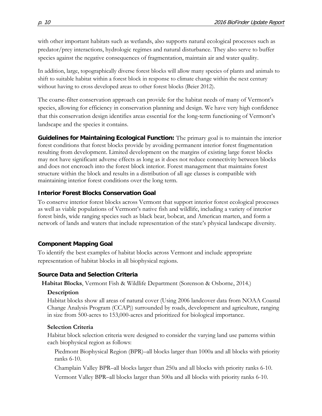with other important habitats such as wetlands, also supports natural ecological processes such as predator/prey interactions, hydrologic regimes and natural disturbance. They also serve to buffer species against the negative consequences of fragmentation, maintain air and water quality.

In addition, large, topographically diverse forest blocks will allow many species of plants and animals to shift to suitable habitat within a forest block in response to climate change within the next century without having to cross developed areas to other forest blocks (Beier 2012).

The coarse-filter conservation approach can provide for the habitat needs of many of Vermont's species, allowing for efficiency in conservation planning and design. We have very high confidence that this conservation design identifies areas essential for the long-term functioning of Vermont's landscape and the species it contains.

**Guidelines for Maintaining Ecological Function:** The primary goal is to maintain the interior forest conditions that forest blocks provide by avoiding permanent interior forest fragmentation resulting from development. Limited development on the margins of existing large forest blocks may not have significant adverse effects as long as it does not reduce connectivity between blocks and does not encroach into the forest block interior. Forest management that maintains forest structure within the block and results in a distribution of all age classes is compatible with maintaining interior forest conditions over the long term.

### **Interior Forest Blocks Conservation Goal**

To conserve interior forest blocks across Vermont that support interior forest ecological processes as well as viable populations of Vermont's native fish and wildlife, including a variety of interior forest birds, wide ranging species such as black bear, bobcat, and American marten, and form a network of lands and waters that include representation of the state's physical landscape diversity.

### **Component Mapping Goal**

To identify the best examples of habitat blocks across Vermont and include appropriate representation of habitat blocks in all biophysical regions.

### **Source Data and Selection Criteria**

**Habitat Blocks**, Vermont Fish & Wildlife Department (Sorenson & Osborne, 2014.)

### **Description**

Habitat blocks show all areas of natural cover (Using 2006 landcover data from NOAA Coastal Change Analysis Program (CCAP)) surrounded by roads, development and agriculture, ranging in size from 500-acres to 153,000-acres and prioritized for biological importance.

### **Selection Criteria**

Habitat block selection criteria were designed to consider the varying land use patterns within each biophysical region as follows:

Piedmont Biophysical Region (BPR)–all blocks larger than 1000a and all blocks with priority ranks 6-10.

Champlain Valley BPR–all blocks larger than 250a and all blocks with priority ranks 6-10.

Vermont Valley BPR–all blocks larger than 500a and all blocks with priority ranks 6-10.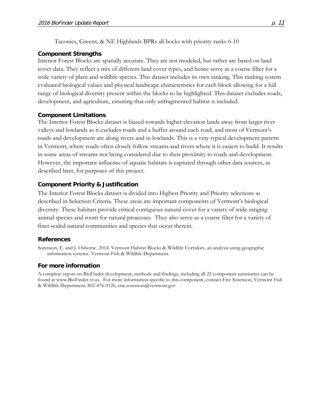Taconics, Greens, & NE Highlands BPRs all bocks with priority ranks 6-10

#### **Component Strengths**

Interior Forest Blocks are spatially accurate. They are not modeled, but rather are based on land cover data. They reflect a mix of different land cover types, and hence serve as a coarse filter for a wide variety of plant and wildlife species. This dataset includes its own ranking. This ranking system evaluated biological values and physical landscape characteristics for each block allowing for a full range of biological diversity present within the blocks to be highlighted. This dataset excludes roads, development, and agriculture, ensuring that only unfragmented habitat is included.

#### **Component Limitations**

The Interior Forest Blocks dataset is biased towards higher elevation lands away from larger river valleys and lowlands as it excludes roads and a buffer around each road, and most of Vermont's roads and development are along rivers and in lowlands. This is a very typical development pattern in Vermont, where roads often closely follow streams and rivers where it is easiest to build. It results in some areas of streams not being considered due to their proximity to roads and development. However, the important influence of aquatic habitats is captured through other data sources, as described later, for purposes of this project.

#### **Component Priority & Justification**

The Interior Forest Blocks dataset is divided into Highest Priority and Priority selections as described in Selection Criteria. These areas are important components of Vermont's biological diversity. These habitats provide critical contiguous natural cover for a variety of wide-ranging animal species and room for natural processes. They also serve as a coarse filter for a variety of finer scaled natural communities and species that occur therein.

#### **References**

Sorenson, E. and J. Osborne. 2014. Vermont Habitat Blocks & Wildlife Corridors, an analysis using geographic information systems. Vermont Fish & Wildlife Department.

#### **For more information**

A complete report on BioFinder development, methods and findings, including all 22 component summaries can be found at www.BioFinder.vt.us. For more information specific to this component, contact Eric Sorenson, Vermont Fish & Wildlife Department, 802-476-0126, eric.sorenson@vermont.gov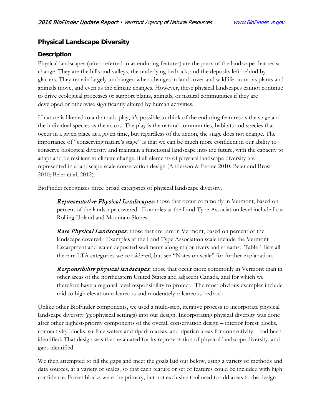# <span id="page-11-0"></span>**Physical Landscape Diversity**

### **Description**

Physical landscapes (often referred to as enduring features) are the parts of the landscape that resist change. They are the hills and valleys, the underlying bedrock, and the deposits left behind by glaciers. They remain largely unchanged when changes in land cover and wildlife occur, as plants and animals move, and even as the climate changes. However, these physical landscapes cannot continue to drive ecological processes or support plants, animals, or natural communities if they are developed or otherwise significantly altered by human activities.

If nature is likened to a dramatic play, it's possible to think of the enduring features as the stage and the individual species as the actors. The play is the natural communities, habitats and species that occur in a given place at a given time, but regardless of the action, the stage does not change. The importance of "conserving nature's stage" is that we can be much more confident in our ability to conserve biological diversity and maintain a functional landscape into the future, with the capacity to adapt and be resilient to climate change, if all elements of physical landscape diversity are represented in a landscape-scale conservation design (Anderson & Ferree 2010; Beier and Brost 2010; Beier et al. 2012).

BioFinder recognizes three broad categories of physical landscape diversity.

**Representative Physical Landscapes**: those that occur commonly in Vermont, based on percent of the landscape covered. Examples at the Land Type Association level include Low Rolling Upland and Mountain Slopes.

**Rare Physical Landscapes:** those that are rare in Vermont, based on percent of the landscape covered. Examples at the Land Type Association scale include the Vermont Escarpment and water-deposited sediments along major rivers and streams. Table 1 lists all the rare LTA categories we considered, but see "Notes on scale" for further explanation.

**Responsibility physical landscapes:** those that occur more commonly in Vermont than in other areas of the northeastern United States and adjacent Canada, and for which we therefore have a regional-level responsibility to protect. The most obvious examples include mid-to high elevation calcareous and moderately calcareous bedrock.

Unlike other BioFinder components, we used a multi-step, iterative process to incorporate physical landscape diversity (geophysical settings) into our design. Incorporating physical diversity was done after other highest-priority components of the overall conservation design – interior forest blocks, connectivity blocks, surface waters and riparian areas, and riparian areas for connectivity – had been identified. That design was then evaluated for its representation of physical landscape diversity, and gaps identified.

We then attempted to fill the gaps and meet the goals laid out below, using a variety of methods and data sources, at a variety of scales, so that each feature or set of features could be included with high confidence. Forest blocks were the primary, but not exclusive tool used to add areas to the design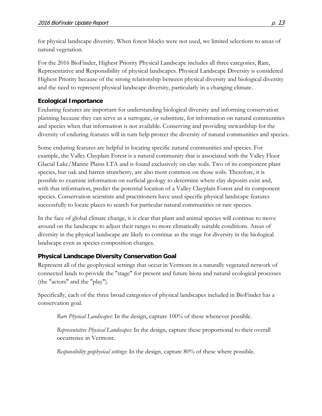for physical landscape diversity. When forest blocks were not used, we limited selections to areas of natural vegetation.

For the 2016 BioFinder, Highest Priority Physical Landscape includes all three categories, Rare, Representative and Responsibility of physical landscapes. Physical Landscape Diversity is considered Highest Priority because of the strong relationship between physical diversity and biological diversity and the need to represent physical landscape diversity, particularly in a changing climate.

# **Ecological Importance**

Enduring features are important for understanding biological diversity and informing conservation planning because they can serve as a surrogate, or substitute, for information on natural communities and species when that information is not available. Conserving and providing stewardship for the diversity of enduring features will in turn help protect the diversity of natural communities and species.

Some enduring features are helpful in locating specific natural communities and species. For example, the Valley Clayplain Forest is a natural community that is associated with the Valley Floor Glacial Lake/Marine Plains LTA and is found exclusively on clay soils. Two of its component plant species, bur oak and barren strawberry, are also most common on those soils. Therefore, it is possible to examine information on surficial geology to determine where clay deposits exist and, with that information, predict the potential location of a Valley Clayplain Forest and its component species. Conservation scientists and practitioners have used specific physical landscape features successfully to locate places to search for particular natural communities or rare species.

In the face of global climate change, it is clear that plant and animal species will continue to move around on the landscape to adjust their ranges to more climatically suitable conditions. Areas of diversity in the physical landscape are likely to continue as the stage for diversity in the biological landscape even as species composition changes.

# **Physical Landscape Diversity Conservation Goal**

Represent all of the geophysical settings that occur in Vermont in a naturally vegetated network of connected lands to provide the "stage" for present and future biota and natural ecological processes (the "actors" and the "play").

Specifically, each of the three broad categories of physical landscapes included in BioFinder has a conservation goal.

*Rare Physical Landscapes*: In the design, capture 100% of these whenever possible.

*Representative Physical Landscapes*: In the design, capture these proportional to their overall occurrence in Vermont.

*Responsibility geophysical settings*: In the design, capture 80% of these where possible.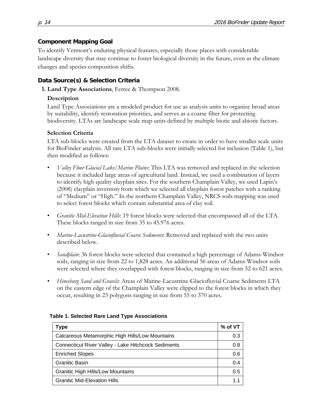### **Component Mapping Goal**

To identify Vermont's enduring physical features, especially those places with considerable landscape diversity that may continue to foster biological diversity in the future, even as the climate changes and species composition shifts.

### **Data Source(s) & Selection Criteria**

**1. Land Type Associations**, Ferree & Thompson 2008.

### **Description**

Land Type Associations are a modeled product for use as analysis units to organize broad areas by suitability, identify restoration priorities, and serves as a coarse filter for protecting biodiversity. LTAs are landscape scale map units defined by multiple biotic and abiotic factors.

### **Selection Criteria**

LTA sub-blocks were created from the LTA dataset to create in order to have smaller scale units for BioFinder analysis. All rare LTA sub-blocks were initially selected for inclusion (Table 1), but then modified as follows:

- *Valley Floor Glacial Lake/Marine Plains*: This LTA was removed and replaced in the selection because it included large areas of agricultural land. Instead, we used a combination of layers to identify high quality clayplain sites. For the southern Champlain Valley, we used Lapin's (2008) clayplain inventory from which we selected all clayplain forest patches with a ranking of "Medium" or "High." In the northern Champlain Valley, NRCS soils mapping was used to select forest blocks which contain substantial area of clay soil.
- *Granitic Mid-Elevation Hills*: 19 forest blocks were selected that encompassed all of the LTA. These blocks ranged in size from 35 to 45.976 acres.
- *Marine-Lacustrine-Glaciofluvial Coarse Sediments*: Removed and replaced with the two units described below.
- *Sandplain*: 36 forest blocks were selected that contained a high percentage of Adams-Windsor soils, ranging in size from 22 to 1,828 acres. An additional 56 areas of Adams-Windsor soils were selected where they overlapped with forest blocks, ranging in size from 52 to 621 acres.
- *Hinesburg Sand and Gravels*: Areas of Marine-Lacustrine-Glaciofluvial Coarse Sediments LTA on the eastern edge of the Champlain Valley were clipped to the forest blocks in which they occur, resulting in 23 polygons ranging in size from 55 to 370 acres.

| Type                                                       |     |  |  |  |
|------------------------------------------------------------|-----|--|--|--|
| Calcareous Metamorphic High Hills/Low Mountains            | 0.3 |  |  |  |
| <b>Connecticut River Valley - Lake Hitchcock Sediments</b> | 0.8 |  |  |  |
| <b>Enriched Slopes</b>                                     | 0.6 |  |  |  |
| <b>Granitic Basin</b>                                      | 0.4 |  |  |  |
| <b>Granitic High Hills/Low Mountains</b>                   | 0.5 |  |  |  |
| <b>Granitic Mid-Elevation Hills</b>                        |     |  |  |  |

#### **Table 1. Selected Rare Land Type Associations**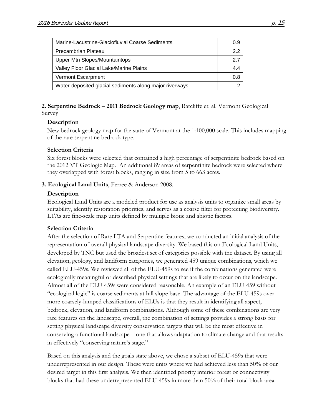| Marine-Lacustrine-Glaciofluvial Coarse Sediments        |     |
|---------------------------------------------------------|-----|
| Precambrian Plateau                                     | 2.2 |
| <b>Upper Mtn Slopes/Mountaintops</b>                    | 27  |
| Valley Floor Glacial Lake/Marine Plains                 |     |
| Vermont Escarpment                                      | 0.8 |
| Water-deposited glacial sediments along major riverways | c   |

**2. Serpentine Bedrock – 2011 Bedrock Geology map**, Ratcliffe et. al. Vermont Geological Survey

#### **Description**

New bedrock geology map for the state of Vermont at the 1:100,000 scale. This includes mapping of the rare serpentine bedrock type.

#### **Selection Criteria**

Six forest blocks were selected that contained a high percentage of serpentinite bedrock based on the 2012 VT Geologic Map. An additional 89 areas of serpentinite bedrock were selected where they overlapped with forest blocks, ranging in size from 5 to 663 acres.

#### **3. Ecological Land Units**, Ferree & Anderson 2008.

#### **Description**

Ecological Land Units are a modeled product for use as analysis units to organize small areas by suitability, identify restoration priorities, and serves as a coarse filter for protecting biodiversity. LTAs are fine-scale map units defined by multiple biotic and abiotic factors.

#### **Selection Criteria**

After the selection of Rare LTA and Serpentine features, we conducted an initial analysis of the representation of overall physical landscape diversity. We based this on Ecological Land Units, developed by TNC but used the broadest set of categories possible with the dataset. By using all elevation, geology, and landform categories, we generated 459 unique combinations, which we called ELU-459s. We reviewed all of the ELU-459s to see if the combinations generated were ecologically meaningful or described physical settings that are likely to occur on the landscape. Almost all of the ELU-459s were considered reasonable. An example of an ELU-459 without "ecological logic" is coarse sediments at hill slope base. The advantage of the ELU-459s over more coarsely-lumped classifications of ELUs is that they result in identifying all aspect, bedrock, elevation, and landform combinations. Although some of these combinations are very rare features on the landscape, overall, the combination of settings provides a strong basis for setting physical landscape diversity conservation targets that will be the most effective in conserving a functional landscape – one that allows adaptation to climate change and that results in effectively "conserving nature's stage."

Based on this analysis and the goals state above, we chose a subset of ELU-459s that were underrepresented in our design. These were units where we had achieved less than 50% of our desired target in this first analysis. We then identified priority interior forest or connectivity blocks that had these underrepresented ELU-459s in more than 50% of their total block area.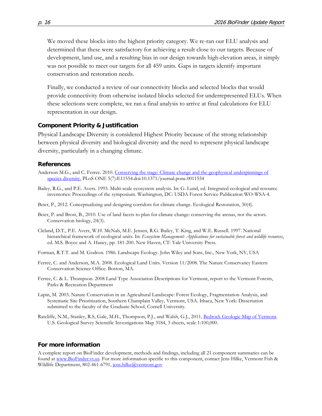We moved these blocks into the highest priority category. We re-ran our ELU analysis and determined that these were satisfactory for achieving a result close to our targets. Because of development, land use, and a resulting bias in our design towards high-elevation areas, it simply was not possible to meet our targets for all 459 units. Gaps in targets identify important conservation and restoration needs.

Finally, we conducted a review of our connectivity blocks and selected blocks that would provide connectivity from otherwise isolated blocks selected for underrepresented ELUs. When these selections were complete, we ran a final analysis to arrive at final calculations for ELU representation in our design.

#### **Component Priority & Justification**

Physical Landscape Diversity is considered Highest Priority because of the strong relationship between physical diversity and biological diversity and the need to represent physical landscape diversity, particularly in a changing climate.

#### **References**

- Anderson M.G., and C. Ferree. 2010. Conserving the stage: Climate change and the geophysical underpinnings of [species diversity.](http://www.plosone.org/article/info:doi/10.1371/journal.pone.0011554) PLoS ONE 5(7):E11554.doi:10.1371/journal.pone.0011554
- Bailey, R.G., and P.E. Avers. 1993. Multi-scale ecosystem analysis. In: G. Lund, ed. Integrated ecological and resource inventories: Proceedings of the symposium. Washington, DC: USDA Forest Service Publication WO-WSA-4.
- Beier, P., 2012. Conceptualizing and designing corridors for climate change. Ecological Restoration, 30(4).
- Beier, P. and Brost, B., 2010. Use of land facets to plan for climate change: conserving the arenas, not the actors. Conservation biology, 24(3).
- Cleland, D.T., P.E. Avers, W.H. McNab, M.E. Jensen, R.G. Bailey, T. King, and W.E. Russell. 1997. National hierarchical framework of ecological units. In: *Ecosystem Management: Applications for sustainable forest and wildlife resources*, ed. M.S. Boyce and A. Haney, pp. 181-200. New Haven, CT: Yale University Press.
- Forman, R.T.T. and M. Godron. 1986. Landscape Ecology. John Wiley and Sons, Inc., New York, NY, USA
- Ferree, C. and Anderson, M.A. 2008. Ecological Land Units. Version 11/2008. The Nature Conservancy Eastern Conservation Science Office. Boston, MA.
- Ferree, C. & L. Thompson. 2008 Land Type Association Descriptions for Vermont, report to the Vermont Forests, Parks & Recreation Department
- Lapin, M. 2003. Nature Conservation in an Agricultural Landscape: Forest Ecology, Fragmentation Analysis, and Systematic Site Prioritization, Southern Champlain Valley, Vermont, USA. Ithaca, New York: Dissertation submitted to the faculty of the Graduate School, Cornell University.
- Ratcliffe, N.M., Stanley, R.S, Gale, M.H., Thompson, P.J., and Walsh, G.J., 2011, [Bedrock Geologic Map of Vermont.](http://www.anr.state.vt.us/dec/geo/StateBedrockMap2012.htm) [U.S. Geological Survey Scientific Investigations Map 3184,](http://pubs.usgs.gov/sim/3184/) 3 sheets, scale 1:100,000.

#### **For more information**

A complete report on BioFinder development, methods and findings, including all 21 component summaries can be found at [www.BioFinder.vt.us.](http://www.biofinder.vt.us/) For more information specific to this component, contact Jens Hilke, Vermont Fish & Wildlife Department, 802-461-6791[, jens.hilke@vermont.gov](mailto:jens.hilke@vermont.gov)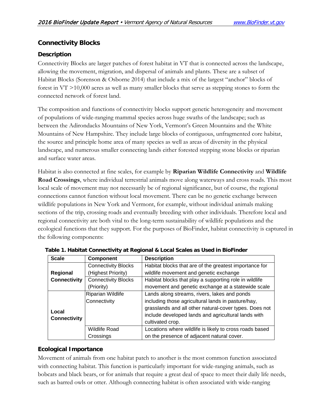# <span id="page-16-0"></span>**Connectivity Blocks**

### **Description**

Connectivity Blocks are larger patches of forest habitat in VT that is connected across the landscape, allowing the movement, migration, and dispersal of animals and plants. These are a subset of Habitat Blocks (Sorenson & Osborne 2014) that include a mix of the largest "anchor" blocks of forest in VT >10,000 acres as well as many smaller blocks that serve as stepping stones to form the connected network of forest land.

The composition and functions of connectivity blocks support genetic heterogeneity and movement of populations of wide-ranging mammal species across huge swaths of the landscape; such as between the Adirondacks Mountains of New York, Vermont's Green Mountains and the White Mountains of New Hampshire. They include large blocks of contiguous, unfragmented core habitat, the source and principle home area of many species as well as areas of diversity in the physical landscape, and numerous smaller connecting lands either forested stepping stone blocks or riparian and surface water areas.

Habitat is also connected at fine scales, for example by **Riparian Wildlife Connectivity** and **Wildlife Road Crossings**, where individual terrestrial animals move along waterways and cross roads. This most local scale of movement may not necessarily be of regional significance, but of course, the regional connections cannot function without local movement. There can be no genetic exchange between wildlife populations in New York and Vermont, for example, without individual animals making sections of the trip, crossing roads and eventually breeding with other individuals. Therefore local and regional connectivity are both vital to the long-term sustainability of wildlife populations and the ecological functions that they support. For the purposes of BioFinder, habitat connectivity is captured in the following components:

| <b>Scale</b>        | <b>Component</b>           | <b>Description</b>                                      |  |  |
|---------------------|----------------------------|---------------------------------------------------------|--|--|
|                     | <b>Connectivity Blocks</b> | Habitat blocks that are of the greatest importance for  |  |  |
| Regional            | (Highest Priority)         | wildlife movement and genetic exchange                  |  |  |
| <b>Connectivity</b> | <b>Connectivity Blocks</b> | Habitat blocks that play a supporting role in wildlife  |  |  |
|                     | (Priority)                 | movement and genetic exchange at a statewide scale      |  |  |
|                     | Riparian Wildlife          | Lands along streams, rivers, lakes and ponds            |  |  |
|                     | Connectivity               | including those agricultural lands in pasture/hay,      |  |  |
| Local               |                            | grasslands and all other natural-cover types. Does not  |  |  |
| <b>Connectivity</b> |                            | include developed lands and agricultural lands with     |  |  |
|                     |                            | cultivated crop.                                        |  |  |
|                     | <b>Wildlife Road</b>       | Locations where wildlife is likely to cross roads based |  |  |
|                     | Crossings                  | on the presence of adjacent natural cover.              |  |  |

**Table 1. Habitat Connectivity at Regional & Local Scales as Used in BioFinder**

# **Ecological Importance**

Movement of animals from one habitat patch to another is the most common function associated with connecting habitat. This function is particularly important for wide-ranging animals, such as bobcats and black bears, or for animals that require a great deal of space to meet their daily life needs, such as barred owls or otter. Although connecting habitat is often associated with wide-ranging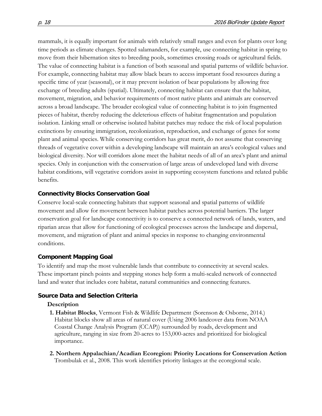mammals, it is equally important for animals with relatively small ranges and even for plants over long time periods as climate changes. Spotted salamanders, for example, use connecting habitat in spring to move from their hibernation sites to breeding pools, sometimes crossing roads or agricultural fields. The value of connecting habitat is a function of both seasonal and spatial patterns of wildlife behavior. For example, connecting habitat may allow black bears to access important food resources during a specific time of year (seasonal), or it may prevent isolation of bear populations by allowing free exchange of breeding adults (spatial). Ultimately, connecting habitat can ensure that the habitat, movement, migration, and behavior requirements of most native plants and animals are conserved across a broad landscape. The broader ecological value of connecting habitat is to join fragmented pieces of habitat, thereby reducing the deleterious effects of habitat fragmentation and population isolation. Linking small or otherwise isolated habitat patches may reduce the risk of local population extinctions by ensuring immigration, recolonization, reproduction, and exchange of genes for some plant and animal species. While conserving corridors has great merit, do not assume that conserving threads of vegetative cover within a developing landscape will maintain an area's ecological values and biological diversity. Nor will corridors alone meet the habitat needs of all of an area's plant and animal species. Only in conjunction with the conservation of large areas of undeveloped land with diverse habitat conditions, will vegetative corridors assist in supporting ecosystem functions and related public benefits.

#### **Connectivity Blocks Conservation Goal**

Conserve local-scale connecting habitats that support seasonal and spatial patterns of wildlife movement and allow for movement between habitat patches across potential barriers. The larger conservation goal for landscape connectivity is to conserve a connected network of lands, waters, and riparian areas that allow for functioning of ecological processes across the landscape and dispersal, movement, and migration of plant and animal species in response to changing environmental conditions.

#### **Component Mapping Goal**

To identify and map the most vulnerable lands that contribute to connectivity at several scales. These important pinch points and stepping stones help form a multi-scaled network of connected land and water that includes core habitat, natural communities and connecting features.

#### **Source Data and Selection Criteria**

#### **Description**

- **1. Habitat Blocks**, Vermont Fish & Wildlife Department (Sorenson & Osborne, 2014.) Habitat blocks show all areas of natural cover (Using 2006 landcover data from NOAA Coastal Change Analysis Program (CCAP)) surrounded by roads, development and agriculture, ranging in size from 20-acres to 153,000-acres and prioritized for biological importance.
- **2. [Northern Appalachian/Acadian Ecoregion: Priority Locations for Conservation Action](http://www.2c1forest.org/en/resources/resources_docs/Special_Report_1.pdf)** Trombulak et al., 2008. This work identifies priority linkages at the ecoregional scale.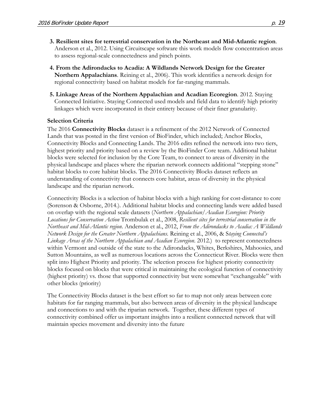- **3. Resilient sites for terrestrial conservation in the Northeast and Mid-Atlantic region**. Anderson et al., 2012. Using Circuitscape software this work models flow concentration areas to assess regional-scale connectedness and pinch points.
- **4. From the Adirondacks to Acadia: A Wildlands Network Design for the Greater Northern Appalachians**. Reining et al., 2006). This work identifies a network design for regional connectivity based on habitat models for far-ranging mammals.
- **5. Linkage Areas of the Northern Appalachian and Acadian Ecoregion**. 2012. Staying Connected Initiative. Staying Connected used models and field data to identify high priority linkages which were incorporated in their entirety because of their finer granularity.

#### **Selection Criteria**

The 2016 **Connectivity Blocks** dataset is a refinement of the 2012 Network of Connected Lands that was posted in the first version of BioFinder, which included; Anchor Blocks, Connectivity Blocks and Connecting Lands. The 2016 edits refined the network into two tiers, highest priority and priority based on a review by the BioFinder Core team. Additional habitat blocks were selected for inclusion by the Core Team, to connect to areas of diversity in the physical landscape and places where the riparian network connects additional "stepping stone" habitat blocks to core habitat blocks. The 2016 Connectivity Blocks dataset reflects an understanding of connectivity that connects core habitat, areas of diversity in the physical landscape and the riparian network.

Connectivity Blocks is a selection of habitat blocks with a high ranking for cost-distance to core (Sorenson & Osborne, 2014.). Additional habitat blocks and connecting lands were added based on overlap with the regional scale datasets (*[Northern Appalachian/Acadian Ecoregion: Priority](http://www.2c1forest.org/en/resources/resources_docs/Special_Report_1.pdf)  [Locations for Conservation Action](http://www.2c1forest.org/en/resources/resources_docs/Special_Report_1.pdf)* Trombulak et al., 2008, *Resilient sites for terrestrial conservation in the Northeast and Mid-Atlantic region*. Anderson et al., 2012, *From the Adirondacks to Acadia: A Wildlands Network Design for the Greater Northern Appalachians.* Reining et al., 2006, & S*taying Connected's Linkage Areas of the Northern Appalachian and Acadian Ecoregion*. 2012.) to represent connectedness within Vermont and outside of the state to the Adirondacks, Whites, Berkshires, Mahoosics, and Sutton Mountains, as well as numerous locations across the Connecticut River. Blocks were then split into Highest Priority and priority. The selection process for highest priority connectivity blocks focused on blocks that were critical in maintaining the ecological function of connectivity (highest priority) vs. those that supported connectivity but were somewhat "exchangeable" with other blocks (priority)

The Connectivity Blocks dataset is the best effort so far to map not only areas between core habitats for far ranging mammals, but also between areas of diversity in the physical landscape and connections to and with the riparian network. Together, these different types of connectivity combined offer us important insights into a resilient connected network that will maintain species movement and diversity into the future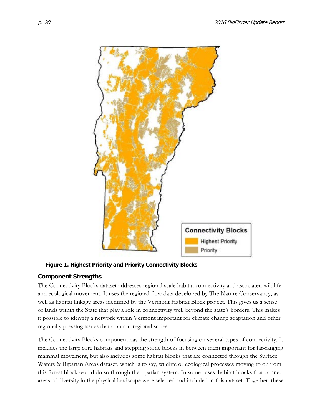

**Figure 1. Highest Priority and Priority Connectivity Blocks**

### **Component Strengths**

The Connectivity Blocks dataset addresses regional scale habitat connectivity and associated wildlife and ecological movement. It uses the regional flow data developed by The Nature Conservancy, as well as habitat linkage areas identified by the Vermont Habitat Block project. This gives us a sense of lands within the State that play a role in connectivity well beyond the state's borders. This makes it possible to identify a network within Vermont important for climate change adaptation and other regionally pressing issues that occur at regional scales

The Connectivity Blocks component has the strength of focusing on several types of connectivity. It includes the large core habitats and stepping stone blocks in between them important for far-ranging mammal movement, but also includes some habitat blocks that are connected through the Surface Waters & Riparian Areas dataset, which is to say, wildlife or ecological processes moving to or from this forest block would do so through the riparian system. In some cases, habitat blocks that connect areas of diversity in the physical landscape were selected and included in this dataset. Together, these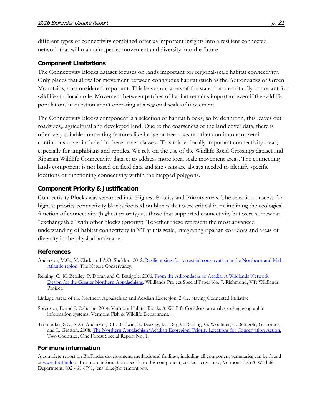different types of connectivity combined offer us important insights into a resilient connected network that will maintain species movement and diversity into the future

#### **Component Limitations**

The Connectivity Blocks dataset focuses on lands important for regional-scale habitat connectivity. Only places that allow for movement between contiguous habitat (such as the Adirondacks or Green Mountains) are considered important. This leaves out areas of the state that are critically important for wildlife at a local scale. Movement between patches of habitat remains important even if the wildlife populations in question aren't operating at a regional scale of movement.

The Connectivity Blocks component is a selection of habitat blocks, so by definition, this leaves out roadsides,, agricultural and developed land. Due to the coarseness of the land cover data, there is often very suitable connecting features like hedge or tree rows or other continuous or semicontinuous cover included in these cover classes. This misses locally important connectivity areas, especially for amphibians and reptiles. We rely on the use of the Wildlife Road Crossings dataset and Riparian Wildlife Connectivity dataset to address more local scale movement areas. The connecting lands component is not based on field data and site visits are always needed to identify specific locations of functioning connectivity within the mapped polygons.

#### **Component Priority & Justification**

Connectivity Blocks was separated into Highest Priority and Priority areas. The selection process for highest priority connectivity blocks focused on blocks that were critical in maintaining the ecological function of connectivity (highest priority) vs. those that supported connectivity but were somewhat "exchangeable" with other blocks (priority). Together these represent the most advanced understanding of habitat connectivity in VT at this scale, integrating riparian corridors and areas of diversity in the physical landscape.

#### **References**

- Anderson, M.G., M. Clark, and A.O. Sheldon. 2012. [Resilient sites for terrestrial conservation in the Northeast and Mid-](http://conserveonline.org/workspaces/ecs/documents/resilient-sites-for-terrestrial-conservation-1)[Atlantic region.](http://conserveonline.org/workspaces/ecs/documents/resilient-sites-for-terrestrial-conservation-1) The Nature Conservancy.
- Reining, C., K. Beazley, P. Doran and C. Bettigole. 200[6. From the Adirondacks to Acadia: A Wildlands Network](http://www.twp.org/sites/default/files/Adirondacks_to_Acadia_08Mar07.pdf)  [Design for the Greater Northern Appalachians.](http://www.twp.org/sites/default/files/Adirondacks_to_Acadia_08Mar07.pdf) Wildlands Project Special Paper No. 7. Richmond, VT: Wildlands Project.
- Linkage Areas of the Northern Appalachian and Acadian Ecoregion. 2012. Staying Connected Initiative
- Sorenson, E. and J. Osborne. 2014. Vermont Habitat Blocks & Wildlife Corridors, an analysis using geographic information systems. Vermont Fish & Wildlife Department.
- Trombulak, S.C., M.G. Anderson, R.F. Baldwin, K. Beazley, J.C. Ray, C. Reining, G. Woolmer, C. Bettigole, G. Forbes, and L. Gratton. 2008. [The Northern Appalachian/Acadian Ecoregion: Priority Locations for Conservation Action.](http://www.2c1forest.org/en/resources/resources_docs/Special_Report_1.pdf) Two Countries, One Forest Special Report No. 1.

#### **For more information**

A complete report on BioFinder development, methods and findings, including all component summaries can be found at [www.BioFinder.](http://www.biofinder.vt.us/) . For more information specific to this component, contact Jens Hilke, Vermont Fish & Wildlife Department, 802-461-6791, jens.hilke@svermont.gov.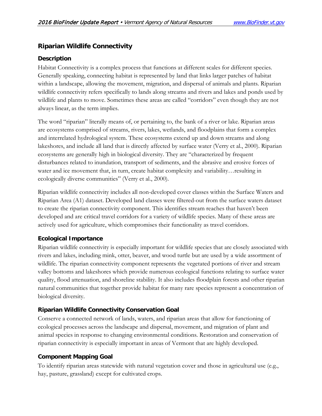# <span id="page-21-0"></span>**Riparian Wildlife Connectivity**

### **Description**

Habitat Connectivity is a complex process that functions at different scales for different species. Generally speaking, connecting habitat is represented by land that links larger patches of habitat within a landscape, allowing the movement, migration, and dispersal of animals and plants. Riparian wildlife connectivity refers specifically to lands along streams and rivers and lakes and ponds used by wildlife and plants to move. Sometimes these areas are called "corridors" even though they are not always linear, as the term implies.

The word "riparian" literally means of, or pertaining to, the bank of a river or lake. Riparian areas are ecosystems comprised of streams, rivers, lakes, wetlands, and floodplains that form a complex and interrelated hydrological system. These ecosystems extend up and down streams and along lakeshores, and include all land that is directly affected by surface water (Verry et al., 2000). Riparian ecosystems are generally high in biological diversity. They are "characterized by frequent disturbances related to inundation, transport of sediments, and the abrasive and erosive forces of water and ice movement that, in turn, create habitat complexity and variability…resulting in ecologically diverse communities" (Verry et al., 2000).

Riparian wildlife connectivity includes all non-developed cover classes within the Surface Waters and Riparian Area (A1) dataset. Developed land classes were filtered-out from the surface waters dataset to create the riparian connectivity component. This identifies stream reaches that haven't been developed and are critical travel corridors for a variety of wildlife species. Many of these areas are actively used for agriculture, which compromises their functionality as travel corridors.

### **Ecological Importance**

Riparian wildlife connectivity is especially important for wildlife species that are closely associated with rivers and lakes, including mink, otter, beaver, and wood turtle but are used by a wide assortment of wildlife. The riparian connectivity component represents the vegetated portions of river and stream valley bottoms and lakeshores which provide numerous ecological functions relating to surface water quality, flood attenuation, and shoreline stability. It also includes floodplain forests and other riparian natural communities that together provide habitat for many rare species represent a concentration of biological diversity.

# **Riparian Wildlife Connectivity Conservation Goal**

Conserve a connected network of lands, waters, and riparian areas that allow for functioning of ecological processes across the landscape and dispersal, movement, and migration of plant and animal species in response to changing environmental conditions. Restoration and conservation of riparian connectivity is especially important in areas of Vermont that are highly developed.

# **Component Mapping Goal**

To identify riparian areas statewide with natural vegetation cover and those in agricultural use (e.g., hay, pasture, grassland) except for cultivated crops.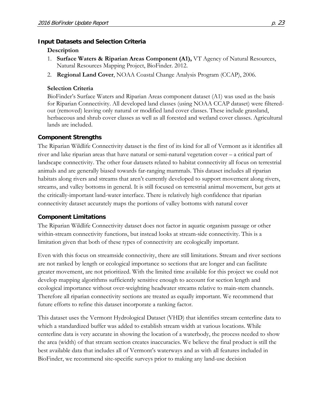#### **Input Datasets and Selection Criteria**

#### **Description**

- 1. **Surface Waters & Riparian Areas Component (A1),** VT Agency of Natural Resources, Natural Resources Mapping Project, BioFinder. 2012.
- 2. **Regional Land Cover**, NOAA Coastal Change Analysis Program (CCAP), 2006.

#### **Selection Criteria**

BioFinder's Surface Waters and Riparian Areas component dataset (A1) was used as the basis for Riparian Connectivity. All developed land classes (using NOAA CCAP dataset) were filteredout (removed) leaving only natural or modified land cover classes. These include grassland, herbaceous and shrub cover classes as well as all forested and wetland cover classes. Agricultural lands are included.

#### **Component Strengths**

The Riparian Wildlife Connectivity dataset is the first of its kind for all of Vermont as it identifies all river and lake riparian areas that have natural or semi-natural vegetation cover – a critical part of landscape connectivity. The other four datasets related to habitat connectivity all focus on terrestrial animals and are generally biased towards far-ranging mammals. This dataset includes all riparian habitats along rivers and streams that aren't currently developed to support movement along rivers, streams, and valley bottoms in general. It is still focused on terrestrial animal movement, but gets at the critically-important land-water interface. There is relatively high confidence that riparian connectivity dataset accurately maps the portions of valley bottoms with natural cover

#### **Component Limitations**

The Riparian Wildlife Connectivity dataset does not factor in aquatic organism passage or other within-stream connectivity functions, but instead looks at stream-side connectivity. This is a limitation given that both of these types of connectivity are ecologically important.

Even with this focus on streamside connectivity, there are still limitations. Stream and river sections are not ranked by length or ecological importance so sections that are longer and can facilitate greater movement, are not prioritized. With the limited time available for this project we could not develop mapping algorithms sufficiently sensitive enough to account for section length and ecological importance without over-weighting headwater streams relative to main-stem channels. Therefore all riparian connectivity sections are treated as equally important. We recommend that future efforts to refine this dataset incorporate a ranking factor.

This dataset uses the Vermont Hydrological Dataset (VHD) that identifies stream centerline data to which a standardized buffer was added to establish stream width at various locations. While centerline data is very accurate in showing the location of a waterbody, the process needed to show the area (width) of that stream section creates inaccuracies. We believe the final product is still the best available data that includes all of Vermont's waterways and as with all features included in BioFinder, we recommend site-specific surveys prior to making any land-use decision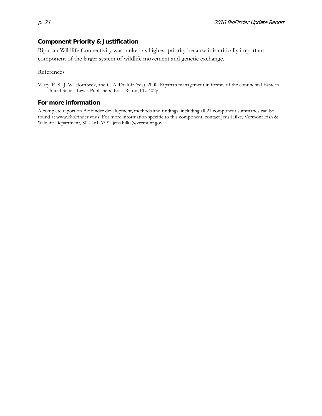#### **Component Priority & Justification**

Riparian Wildlife Connectivity was ranked as highest priority because it is critically important component of the larger system of wildlife movement and genetic exchange.

References

Verry, E. S., J. W. Hornbeck, and C. A. Dolloff (eds). 2000. Riparian management in forests of the continental Eastern United States. Lewis Publishers, Boca Raton, FL. 402p.

#### **For more information**

A complete report on BioFinder development, methods and findings, including all 21 component summaries can be found at www.BioFinder.vt.us. For more information specific to this component, contact Jens Hilke, Vermont Fish & Wildlife Department, 802-461-6791, jens.hilke@vermont.gov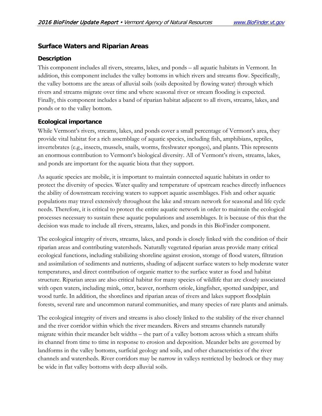# <span id="page-24-0"></span>**Surface Waters and Riparian Areas**

#### **Description**

This component includes all rivers, streams, lakes, and ponds – all aquatic habitats in Vermont. In addition, this component includes the valley bottoms in which rivers and streams flow. Specifically, the valley bottoms are the areas of alluvial soils (soils deposited by flowing water) through which rivers and streams migrate over time and where seasonal river or stream flooding is expected. Finally, this component includes a band of riparian habitat adjacent to all rivers, streams, lakes, and ponds or to the valley bottom.

### **Ecological importance**

While Vermont's rivers, streams, lakes, and ponds cover a small percentage of Vermont's area, they provide vital habitat for a rich assemblage of aquatic species, including fish, amphibians, reptiles, invertebrates (e.g., insects, mussels, snails, worms, freshwater sponges), and plants. This represents an enormous contribution to Vermont's biological diversity. All of Vermont's rivers, streams, lakes, and ponds are important for the aquatic biota that they support.

As aquatic species are mobile, it is important to maintain connected aquatic habitats in order to protect the diversity of species. Water quality and temperature of upstream reaches directly influences the ability of downstream receiving waters to support aquatic assemblages. Fish and other aquatic populations may travel extensively throughout the lake and stream network for seasonal and life cycle needs. Therefore, it is critical to protect the entire aquatic network in order to maintain the ecological processes necessary to sustain these aquatic populations and assemblages. It is because of this that the decision was made to include all rivers, streams, lakes, and ponds in this BioFinder component.

The ecological integrity of rivers, streams, lakes, and ponds is closely linked with the condition of their riparian areas and contributing watersheds. Naturally vegetated riparian areas provide many critical ecological functions, including stabilizing shoreline against erosion, storage of flood waters, filtration and assimilation of sediments and nutrients, shading of adjacent surface waters to help moderate water temperatures, and direct contribution of organic matter to the surface water as food and habitat structure. Riparian areas are also critical habitat for many species of wildlife that are closely associated with open waters, including mink, otter, beaver, northern oriole, kingfisher, spotted sandpiper, and wood turtle. In addition, the shorelines and riparian areas of rivers and lakes support floodplain forests, several rare and uncommon natural communities, and many species of rare plants and animals.

The ecological integrity of rivers and streams is also closely linked to the stability of the river channel and the river corridor within which the river meanders. Rivers and streams channels naturally migrate within their meander belt widths – the part of a valley bottom across which a stream shifts its channel from time to time in response to erosion and deposition. Meander belts are governed by landforms in the valley bottoms, surficial geology and soils, and other characteristics of the river channels and watersheds. River corridors may be narrow in valleys restricted by bedrock or they may be wide in flat valley bottoms with deep alluvial soils.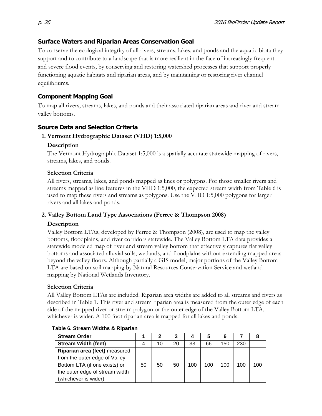### **Surface Waters and Riparian Areas Conservation Goal**

To conserve the ecological integrity of all rivers, streams, lakes, and ponds and the aquatic biota they support and to contribute to a landscape that is more resilient in the face of increasingly frequent and severe flood events, by conserving and restoring watershed processes that support properly functioning aquatic habitats and riparian areas, and by maintaining or restoring river channel equilibriums.

### **Component Mapping Goal**

To map all rivers, streams, lakes, and ponds and their associated riparian areas and river and stream valley bottoms.

### **Source Data and Selection Criteria**

### **1. Vermont Hydrographic Dataset (VHD) 1:5,000**

### **Description**

The Vermont Hydrographic Dataset 1:5,000 is a spatially accurate statewide mapping of rivers, streams, lakes, and ponds.

### **Selection Criteria**

All rivers, streams, lakes, and ponds mapped as lines or polygons. For those smaller rivers and streams mapped as line features in the VHD 1:5,000, the expected stream width from Table 6 is used to map these rivers and streams as polygons. Use the VHD 1:5,000 polygons for larger rivers and all lakes and ponds.

### **2. Valley Bottom Land Type Associations (Ferree & Thompson 2008)**

### **Description**

Valley Bottom LTAs, developed by Ferree & Thompson (2008), are used to map the valley bottoms, floodplains, and river corridors statewide. The Valley Bottom LTA data provides a statewide modeled map of river and stream valley bottom that effectively captures flat valley bottoms and associated alluvial soils, wetlands, and floodplains without extending mapped areas beyond the valley floors. Although partially a GIS model, major portions of the Valley Bottom LTA are based on soil mapping by Natural Resources Conservation Service and wetland mapping by National Wetlands Inventory.

### **Selection Criteria**

All Valley Bottom LTAs are included. Riparian area widths are added to all streams and rivers as described in Table 1. This river and stream riparian area is measured from the outer edge of each side of the mapped river or stream polygon or the outer edge of the Valley Bottom LTA, whichever is wider. A 100 foot riparian area is mapped for all lakes and ponds.

| <b>Stream Order</b>            |    |    |    |     | 5   | 6   |     |     |
|--------------------------------|----|----|----|-----|-----|-----|-----|-----|
| <b>Stream Width (feet)</b>     |    | 10 | 20 | 33  | 66  | 150 | 230 |     |
| Riparian area (feet) measured  |    |    |    |     |     |     |     |     |
| from the outer edge of Valley  |    |    |    |     |     |     |     |     |
| Bottom LTA (if one exists) or  | 50 | 50 | 50 | 100 | 100 | 100 | 100 | 100 |
| the outer edge of stream width |    |    |    |     |     |     |     |     |
| (whichever is wider).          |    |    |    |     |     |     |     |     |

#### **Table 6. Stream Widths & Riparian**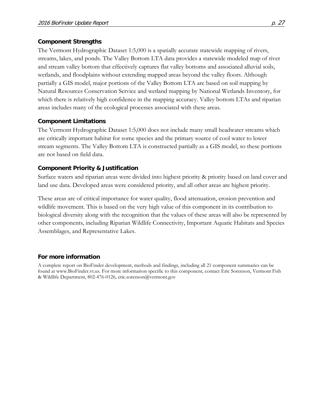#### **Component Strengths**

The Vermont Hydrographic Dataset 1:5,000 is a spatially accurate statewide mapping of rivers, streams, lakes, and ponds. The Valley Bottom LTA data provides a statewide modeled map of river and stream valley bottom that effectively captures flat valley bottoms and associated alluvial soils, wetlands, and floodplains without extending mapped areas beyond the valley floors. Although partially a GIS model, major portions of the Valley Bottom LTA are based on soil mapping by Natural Resources Conservation Service and wetland mapping by National Wetlands Inventory, for which there is relatively high confidence in the mapping accuracy. Valley bottom LTAs and riparian areas includes many of the ecological processes associated with these areas.

#### **Component Limitations**

The Vermont Hydrographic Dataset 1:5,000 does not include many small headwater streams which are critically important habitat for some species and the primary source of cool water to lower stream segments. The Valley Bottom LTA is constructed partially as a GIS model, so these portions are not based on field data.

#### **Component Priority & Justification**

Surface waters and riparian areas were divided into highest priority & priority based on land cover and land use data. Developed areas were considered priority, and all other areas are highest priority.

These areas are of critical importance for water quality, flood attenuation, erosion prevention and wildlife movement. This is based on the very high value of this component in its contribution to biological diversity along with the recognition that the values of these areas will also be represented by other components, including Riparian Wildlife Connectivity, Important Aquatic Habitats and Species Assemblages, and Representative Lakes.

### **For more information**

A complete report on BioFinder development, methods and findings, including all 21 component summaries can be found at www.BioFinder.vt.us. For more information specific to this component, contact Eric Sorenson, Vermont Fish & Wildlife Department, 802-476-0126, eric.sorenson@vermont.gov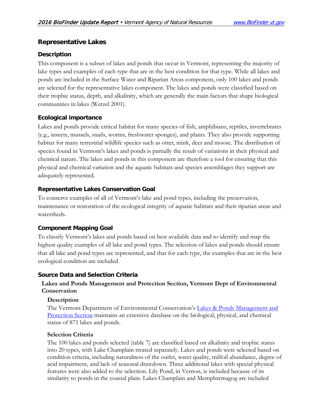# <span id="page-27-0"></span>**Representative Lakes**

### **Description**

This component is a subset of lakes and ponds that occur in Vermont, representing the majority of lake types and examples of each type that are in the best condition for that type. While all lakes and ponds are included in the Surface Water and Riparian Areas component, only 100 lakes and ponds are selected for the representative lakes component. The lakes and ponds were classified based on their trophic status, depth, and alkalinity, which are generally the main factors that shape biological communities in lakes (Wetzel 2001).

### **Ecological importance**

Lakes and ponds provide critical habitat for many species of fish, amphibians, reptiles, invertebrates (e.g., insects, mussels, snails, worms, freshwater sponges), and plants. They also provide supporting habitat for many terrestrial wildlife species such as otter, mink, deer and moose. The distribution of species found in Vermont's lakes and ponds is partially the result of variations in their physical and chemical nature. The lakes and ponds in this component are therefore a tool for ensuring that this physical and chemical variation and the aquatic habitats and species assemblages they support are adequately represented.

### **Representative Lakes Conservation Goal**

To conserve examples of all of Vermont's lake and pond types, including the preservation, maintenance or restoration of the ecological integrity of aquatic habitats and their riparian areas and watersheds.

### **Component Mapping Goal**

To classify Vermont's lakes and ponds based on best available data and to identify and map the highest quality examples of all lake and pond types. The selection of lakes and ponds should ensure that all lake and pond types are represented, and that for each type, the examples that are in the best ecological condition are included.

# **Source Data and Selection Criteria**

### **Lakes and Ponds Management and Protection Section, Vermont Dept of Environmental Conservation**

### **Description**

The Vermont Department of Environmental Conservation's [Lakes & Ponds Management and](http://www.vtwaterquality.org/lakes.htm)  [Protection Section](http://www.vtwaterquality.org/lakes.htm) maintains an extensive database on the biological, physical, and chemical status of 871 lakes and ponds.

### **Selection Criteria**

The 100 lakes and ponds selected (table 7) are classified based on alkalinity and trophic status into 20 types, with Lake Champlain treated separately. Lakes and ponds were selected based on condition criteria, including naturalness of the outlet, water quality, milfoil abundance, degree of acid impairment, and lack of seasonal drawdown. Three additional lakes with special physical features were also added to the selection. Lily Pond, in Vernon, is included because of its similarity to ponds in the coastal plain. Lakes Champlain and Memphremagog are included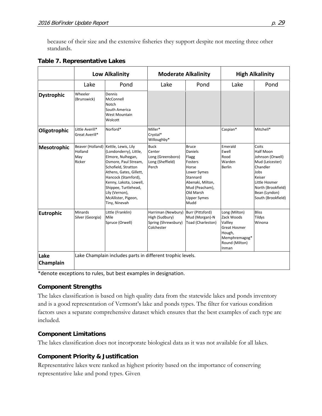because of their size and the extensive fisheries they support despite not meeting three other standards.

|                    | <b>Low Alkalinity</b>              |                                                                                                                                                                                                                                                                                                  | <b>Moderate Alkalinity</b>                                                |                                                                                                                                                                         | <b>High Alkalinity</b>                                                                                              |                                                                                                                                                                       |  |
|--------------------|------------------------------------|--------------------------------------------------------------------------------------------------------------------------------------------------------------------------------------------------------------------------------------------------------------------------------------------------|---------------------------------------------------------------------------|-------------------------------------------------------------------------------------------------------------------------------------------------------------------------|---------------------------------------------------------------------------------------------------------------------|-----------------------------------------------------------------------------------------------------------------------------------------------------------------------|--|
|                    | Lake                               | Pond                                                                                                                                                                                                                                                                                             | Lake                                                                      | Pond                                                                                                                                                                    | Lake                                                                                                                | Pond                                                                                                                                                                  |  |
| <b>Dystrophic</b>  | Wheeler<br>(Brunswick)             | Dennis<br>McConnell<br>Notch<br>South America<br><b>West Mountain</b><br>Wolcott                                                                                                                                                                                                                 |                                                                           |                                                                                                                                                                         |                                                                                                                     |                                                                                                                                                                       |  |
| Oligotrophic       | Little Averill*<br>Great Averill*  | Norford*                                                                                                                                                                                                                                                                                         | Miller*<br>Crystal*<br>Willoughby*                                        |                                                                                                                                                                         | Caspian*                                                                                                            | Mitchell*                                                                                                                                                             |  |
| <b>Mesotrophic</b> | Holland<br>May<br>Ricker           | Beaver (Holland) Kettle, Lewis, Lily<br>(Londonderry), Little,<br>Elmore, Nulhegan,<br>Osmore, Paul Stream,<br>Schofield, Stratton<br>Athens, Gates, Gillett,<br>Hancock (Stamford),<br>Kenny, Lakota, Lowell,<br>Shippee, Turtlehead,<br>Lily (Vernon),<br>McAllister, Pigeon,<br>Tiny, Ninevah | <b>Buck</b><br>Center<br>Long (Greensboro)<br>Long (Sheffield)<br>Perch   | <b>Bruce</b><br><b>Daniels</b><br>Flagg<br>Fosters<br>Horse<br>Lower Symes<br>Stannard<br>Abenaki, Milton,<br>Mud (Peacham),<br>Old Marsh<br><b>Upper Symes</b><br>Mudd | Emerald<br>Ewell<br>Rood<br>Warden<br>Berlin                                                                        | Coits<br>Half Moon<br>Johnson (Orwell)<br>Mud (Leicester)<br>Chandler<br>Jobs<br>Keiser<br>Little Hosmer<br>North (Brookfield)<br>Bean (Lyndon)<br>South (Brookfield) |  |
| <b>Eutrophic</b>   | <b>Minards</b><br>Silver (Georgia) | Little (Franklin)<br>Mile<br>Spruce (Orwell)                                                                                                                                                                                                                                                     | Harriman (Newbury)<br>High (Sudbury)<br>Spring (Shrewsbury)<br>Colchester | Burr (Pittsford)<br>Mud (Morgan)-N<br>Toad (Charleston)                                                                                                                 | Long (Milton)<br>Zack Woods<br>Vallley<br><b>Great Hosmer</b><br>Hough,<br>Memphremagog*<br>Round (Milton)<br>Inman | <b>Bliss</b><br>Tildys<br>Winona                                                                                                                                      |  |
| Lake<br>Champlain  |                                    | Lake Champlain includes parts in different trophic levels.                                                                                                                                                                                                                                       |                                                                           |                                                                                                                                                                         |                                                                                                                     |                                                                                                                                                                       |  |

#### **Table 7. Representative Lakes**

\*denote exceptions to rules, but best examples in designation.

### **Component Strengths**

The lakes classification is based on high quality data from the statewide lakes and ponds inventory and is a good representation of Vermont's lake and ponds types. The filter for various condition factors uses a separate comprehensive dataset which ensures that the best examples of each type are included.

### **Component Limitations**

The lakes classification does not incorporate biological data as it was not available for all lakes.

# **Component Priority & Justification**

Representative lakes were ranked as highest priority based on the importance of conserving representative lake and pond types. Given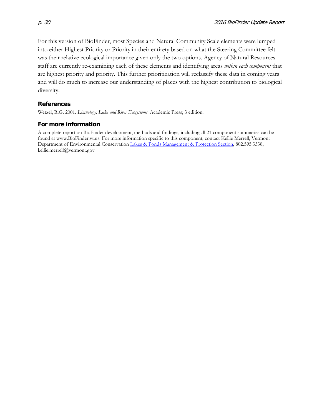For this version of BioFinder, most Species and Natural Community Scale elements were lumped into either Highest Priority or Priority in their entirety based on what the Steering Committee felt was their relative ecological importance given only the two options. Agency of Natural Resources staff are currently re-examining each of these elements and identifying areas *within each component* that are highest priority and priority. This further prioritization will reclassify these data in coming years and will do much to increase our understanding of places with the highest contribution to biological diversity.

#### **References**

Wetzel, R.G. 2001. *Limnology: Lake and River Ecosystems*. Academic Press; 3 edition.

#### **For more information**

A complete report on BioFinder development, methods and findings, including all 21 component summaries can be found at www.BioFinder.vt.us. For more information specific to this component, contact Kellie Merrell, Vermont Department of Environmental Conservation Lakes [& Ponds Management & Protection Section,](http://www.vtwaterquality.org/lakes.htm) 802.595.3538, kellie.merrell@vermont.gov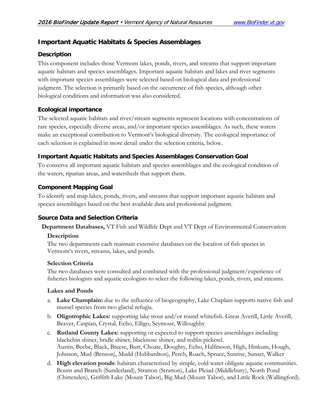# <span id="page-30-0"></span>**Important Aquatic Habitats & Species Assemblages**

# **Description**

This component includes those Vermont lakes, ponds, rivers, and streams that support important aquatic habitats and species assemblages. Important aquatic habitats and lakes and river segments with important species assemblages were selected based on biological data and professional judgment. The selection is primarily based on the occurrence of fish species, although other biological conditions and information was also considered.

# **Ecological importance**

The selected aquatic habitats and river/stream segments represent locations with concentrations of rare species, especially diverse areas, and/or important species assemblages. As such, these waters make an exceptional contribution to Vermont's biological diversity. The ecological importance of each selection is explained in more detail under the selection criteria, below.

# **Important Aquatic Habitats and Species Assemblages Conservation Goal**

To conserve all important aquatic habitats and species assemblages and the ecological condition of the waters, riparian areas, and watersheds that support them.

# **Component Mapping Goal**

To identify and map lakes, ponds, rivers, and streams that support important aquatic habitats and species assemblages based on the best available data and professional judgment.

# **Source Data and Selection Criteria**

**Department Databases,** VT Fish and Wildlife Dept and VT Dept of Environmental Conservation

# **Description**

The two departments each maintain extensive databases on the location of fish species in Vermont's rivers, streams, lakes, and ponds.

# **Selection Criteria**

The two databases were consulted and combined with the professional judgment/experience of fisheries biologists and aquatic ecologists to select the following lakes, ponds, rivers, and streams.

### **Lakes and Ponds**

- a. **Lake Champlain:** due to the influence of biogeography, Lake Chaplain supports native fish and mussel species from two glacial refugia.
- b. **Oligotrophic Lakes:** supporting lake trout and/or round whitefish. Great Averill, Little Averill, Beaver, Caspian, Crystal, Echo, Elligo, Seymour, Willoughby
- c. **Rutland County Lakes:** supporting or expected to support species assemblages including blackchin shiner, bridle shiner, blacknose shiner, and redfin pickerel. Austin, Beebe, Black, Breese, Burr, Choate, Doughty, Echo, Halfmoon, High, Hinkum, Hough, Johnson, Mud (Benson), Mudd (Hubbardton), Perch, Roach, Spruce, Sunrise, Sunset, Walker
- d. **High elevation ponds**: habitats characterized by simple, cold water obligate aquatic communities. Bourn and Branch (Sunderland), Stratton (Stratton), Lake Pleiad (Middlebury), North Pond (Chittenden), Griffith Lake (Mount Tabor), Big Mud (Mount Tabor), and Little Rock (Wallingford).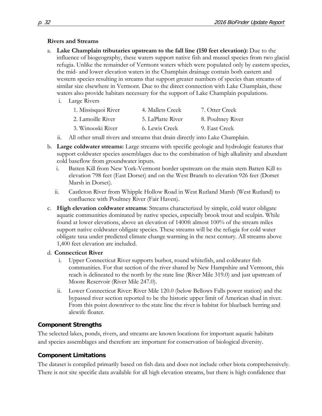#### **Rivers and Streams**

- a. **Lake Champlain tributaries upstream to the fall line (150 feet elevation):** Due to the influence of biogeography, these waters support native fish and mussel species from two glacial refugia. Unlike the remainder of Vermont waters which were populated only by eastern species, the mid- and lower elevation waters in the Champlain drainage contain both eastern and western species resulting in streams that support greater numbers of species than streams of similar size elsewhere in Vermont. Due to the direct connection with Lake Champlain, these waters also provide habitats necessary for the support of Lake Champlain populations.
	- i. Large Rivers

| 1. Missisquoi River | 4. Mallets Creek  | 7. Otter Creek    |
|---------------------|-------------------|-------------------|
| 2. Lamoille River   | 5. LaPlatte River | 8. Poultney River |
| 3. Winooski River   | 6. Lewis Creek    | 9. East Creek     |

- ii. All other small rivers and streams that drain directly into Lake Champlain.
- b. **Large coldwater streams:** Large streams with specific geologic and hydrologic features that support coldwater species assemblages due to the combination of high alkalinity and abundant cold baseflow from groundwater inputs.
	- i. Batten Kill from New York-Vermont border upstream on the main stem Batten Kill to elevation 798 feet (East Dorset) and on the West Branch to elevation 926 feet (Dorset Marsh in Dorset).
	- ii. Castleton River from Whipple Hollow Road in West Rutland Marsh (West Rutland) to confluence with Poultney River (Fair Haven).
- c. **High elevation coldwater streams**: Streams characterized by simple, cold water obligate aquatic communities dominated by native species, especially brook trout and sculpin. While found at lower elevations, above an elevation of 1400ft almost 100% of the stream miles support native coldwater obligate species. These streams will be the refugia for cold water obligate taxa under predicted climate change warming in the next century. All streams above 1,400 feet elevation are included.

### d. **Connecticut River**

- i. Upper Connecticut River supports burbot, round whitefish, and coldwater fish communities. For that section of the river shared by New Hampshire and Vermont, this reach is delineated to the north by the state line (River Mile 319.0) and just upstream of Moore Reservoir (River Mile 247.0).
- ii. Lower Connecticut River: River Mile 120.0 (below Bellows Falls power station) and the bypassed river section reported to be the historic upper limit of American shad in river. From this point downriver to the state line the river is habitat for blueback herring and alewife floater.

# **Component Strengths**

The selected lakes, ponds, rivers, and streams are known locations for important aquatic habitats and species assemblages and therefore are important for conservation of biological diversity.

### **Component Limitations**

The dataset is compiled primarily based on fish data and does not include other biota comprehensively. There is not site specific data available for all high elevation streams, but there is high confidence that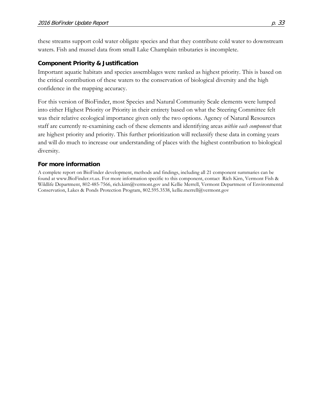these streams support cold water obligate species and that they contribute cold water to downstream waters. Fish and mussel data from small Lake Champlain tributaries is incomplete.

#### **Component Priority & Justification**

Important aquatic habitats and species assemblages were ranked as highest priority. This is based on the critical contribution of these waters to the conservation of biological diversity and the high confidence in the mapping accuracy.

For this version of BioFinder, most Species and Natural Community Scale elements were lumped into either Highest Priority or Priority in their entirety based on what the Steering Committee felt was their relative ecological importance given only the two options. Agency of Natural Resources staff are currently re-examining each of these elements and identifying areas *within each component* that are highest priority and priority. This further prioritization will reclassify these data in coming years and will do much to increase our understanding of places with the highest contribution to biological diversity.

#### **For more information**

A complete report on BioFinder development, methods and findings, including all 21 component summaries can be found at www.BioFinder.vt.us. For more information specific to this component, contact Rich Kirn, Vermont Fish & Wildlife Department, 802-485-7566, rich.kirn@vermont.gov and Kellie Merrell, Vermont Department of Environmental Conservation, Lakes & Ponds Protection Program, 802.595.3538, kellie.merrell@vermont.gov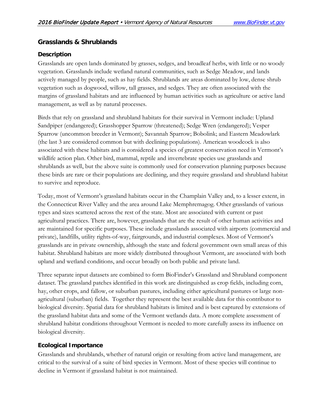# <span id="page-33-0"></span>**Grasslands & Shrublands**

### **Description**

Grasslands are open lands dominated by grasses, sedges, and broadleaf herbs, with little or no woody vegetation. Grasslands include wetland natural communities, such as Sedge Meadow, and lands actively managed by people, such as hay fields. Shrublands are areas dominated by low, dense shrub vegetation such as dogwood, willow, tall grasses, and sedges. They are often associated with the margins of grassland habitats and are influenced by human activities such as agriculture or active land management, as well as by natural processes.

Birds that rely on grassland and shrubland habitats for their survival in Vermont include: Upland Sandpiper (endangered); Grasshopper Sparrow (threatened); Sedge Wren (endangered); Vesper Sparrow (uncommon breeder in Vermont); Savannah Sparrow; Bobolink; and Eastern Meadowlark (the last 3 are considered common but with declining populations). American woodcock is also associated with these habitats and is considered a species of greatest conservation need in Vermont's wildlife action plan. Other bird, mammal, reptile and invertebrate species use grasslands and shrublands as well, but the above suite is commonly used for conservation planning purposes because these birds are rare or their populations are declining, and they require grassland and shrubland habitat to survive and reproduce.

Today, most of Vermont's grassland habitats occur in the Champlain Valley and, to a lesser extent, in the Connecticut River Valley and the area around Lake Memphremagog. Other grasslands of various types and sizes scattered across the rest of the state. Most are associated with current or past agricultural practices. There are, however, grasslands that are the result of other human activities and are maintained for specific purposes. These include grasslands associated with airports (commercial and private), landfills, utility rights-of-way, fairgrounds, and industrial complexes. Most of Vermont's grasslands are in private ownership, although the state and federal government own small areas of this habitat. Shrubland habitats are more widely distributed throughout Vermont, are associated with both upland and wetland conditions, and occur broadly on both public and private land.

Three separate input datasets are combined to form BioFinder's Grassland and Shrubland component dataset. The grassland patches identified in this work are distinguished as crop fields, including corn, hay, other crops, and fallow, or suburban pastures, including either agricultural pastures or large nonagricultural (suburban) fields. Together they represent the best available data for this contributor to biological diversity. Spatial data for shrubland habitats is limited and is best captured by extensions of the grassland habitat data and some of the Vermont wetlands data. A more complete assessment of shrubland habitat conditions throughout Vermont is needed to more carefully assess its influence on biological diversity.

# **Ecological Importance**

Grasslands and shrublands, whether of natural origin or resulting from active land management, are critical to the survival of a suite of bird species in Vermont. Most of these species will continue to decline in Vermont if grassland habitat is not maintained.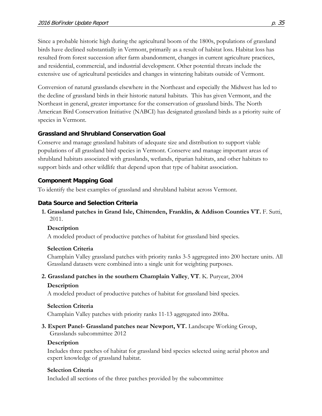Since a probable historic high during the agricultural boom of the 1800s, populations of grassland birds have declined substantially in Vermont, primarily as a result of habitat loss. Habitat loss has resulted from forest succession after farm abandonment, changes in current agriculture practices, and residential, commercial, and industrial development. Other potential threats include the extensive use of agricultural pesticides and changes in wintering habitats outside of Vermont.

Conversion of natural grasslands elsewhere in the Northeast and especially the Midwest has led to the decline of grassland birds in their historic natural habitats. This has given Vermont, and the Northeast in general, greater importance for the conservation of grassland birds. The North American Bird Conservation Initiative (NABCI) has designated grassland birds as a priority suite of species in Vermont.

# **Grassland and Shrubland Conservation Goal**

Conserve and manage grassland habitats of adequate size and distribution to support viable populations of all grassland bird species in Vermont. Conserve and manage important areas of shrubland habitats associated with grasslands, wetlands, riparian habitats, and other habitats to support birds and other wildlife that depend upon that type of habitat association.

# **Component Mapping Goal**

To identify the best examples of grassland and shrubland habitat across Vermont.

# **Data Source and Selection Criteria**

### **1. Grassland patches in Grand Isle, Chittenden, Franklin, & Addison Counties VT.** F. Sutti, 2011.

# **Description**

A modeled product of productive patches of habitat for grassland bird species.

# **Selection Criteria**

Champlain Valley grassland patches with priority ranks 3-5 aggregated into 200 hectare units. All Grassland datasets were combined into a single unit for weighting purposes.

# **2. Grassland patches in the southern Champlain Valley**, **VT**. K. Puryear, 2004

# **Description**

A modeled product of productive patches of habitat for grassland bird species.

# **Selection Criteria**

Champlain Valley patches with priority ranks 11-13 aggregated into 200ha.

#### **3. Expert Panel- Grassland patches near Newport, VT.** Landscape Working Group, Grasslands subcommittee 2012

# **Description**

Includes three patches of habitat for grassland bird species selected using aerial photos and expert knowledge of grassland habitat.

# **Selection Criteria**

Included all sections of the three patches provided by the subcommittee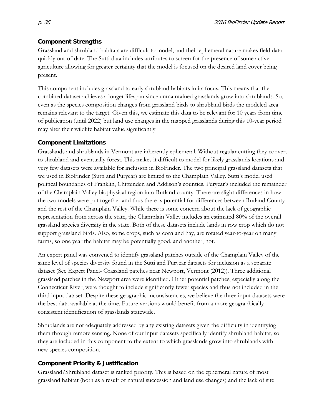# **Component Strengths**

Grassland and shrubland habitats are difficult to model, and their ephemeral nature makes field data quickly out-of-date. The Sutti data includes attributes to screen for the presence of some active agriculture allowing for greater certainty that the model is focused on the desired land cover being present.

This component includes grassland to early shrubland habitats in its focus. This means that the combined dataset achieves a longer lifespan since unmaintained grasslands grow into shrublands. So, even as the species composition changes from grassland birds to shrubland birds the modeled area remains relevant to the target. Given this, we estimate this data to be relevant for 10 years from time of publication (until 2022) but land use changes in the mapped grasslands during this 10-year period may alter their wildlife habitat value significantly

# **Component Limitations**

Grasslands and shrublands in Vermont are inherently ephemeral. Without regular cutting they convert to shrubland and eventually forest. This makes it difficult to model for likely grasslands locations and very few datasets were available for inclusion in BioFinder. The two principal grassland datasets that we used in BioFinder (Sutti and Puryear) are limited to the Champlain Valley. Sutti's model used political boundaries of Franklin, Chittenden and Addison's counties. Puryear's included the remainder of the Champlain Valley biophysical region into Rutland county. There are slight differences in how the two models were put together and thus there is potential for differences between Rutland County and the rest of the Champlain Valley. While there is some concern about the lack of geographic representation from across the state, the Champlain Valley includes an estimated 80% of the overall grassland species diversity in the state. Both of these datasets include lands in row crop which do not support grassland birds. Also, some crops, such as corn and hay, are rotated year-to-year on many farms, so one year the habitat may be potentially good, and another, not.

An expert panel was convened to identify grassland patches outside of the Champlain Valley of the same level of species diversity found in the Sutti and Puryear datasets for inclusion as a separate dataset (See Expert Panel- Grassland patches near Newport, Vermont (2012)). Three additional grassland patches in the Newport area were identified. Other potential patches, especially along the Connecticut River, were thought to include significantly fewer species and thus not included in the third input dataset. Despite these geographic inconsistencies, we believe the three input datasets were the best data available at the time. Future versions would benefit from a more geographically consistent identification of grasslands statewide.

Shrublands are not adequately addressed by any existing datasets given the difficulty in identifying them through remote sensing. None of our input datasets specifically identify shrubland habitat, so they are included in this component to the extent to which grasslands grow into shrublands with new species composition.

# **Component Priority & Justification**

Grassland/Shrubland dataset is ranked priority. This is based on the ephemeral nature of most grassland habitat (both as a result of natural succession and land use changes) and the lack of site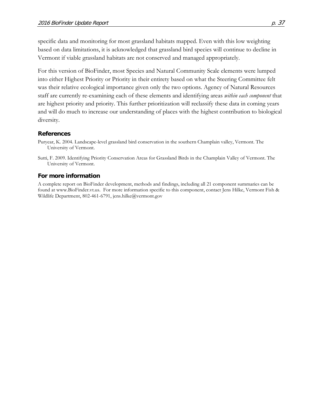specific data and monitoring for most grassland habitats mapped. Even with this low weighting based on data limitations, it is acknowledged that grassland bird species will continue to decline in Vermont if viable grassland habitats are not conserved and managed appropriately.

For this version of BioFinder, most Species and Natural Community Scale elements were lumped into either Highest Priority or Priority in their entirety based on what the Steering Committee felt was their relative ecological importance given only the two options. Agency of Natural Resources staff are currently re-examining each of these elements and identifying areas *within each component* that are highest priority and priority. This further prioritization will reclassify these data in coming years and will do much to increase our understanding of places with the highest contribution to biological diversity.

#### **References**

- Puryear, K. 2004. Landscape-level grassland bird conservation in the southern Champlain valley, Vermont. The University of Vermont.
- Sutti, F. 2009. Identifying Priority Conservation Areas for Grassland Birds in the Champlain Valley of Vermont. The University of Vermont.

#### **For more information**

A complete report on BioFinder development, methods and findings, including all 21 component summaries can be found at www.BioFinder.vt.us. For more information specific to this component, contact Jens Hilke, Vermont Fish & Wildlife Department, 802-461-6791, jens.hilke@vermont.gov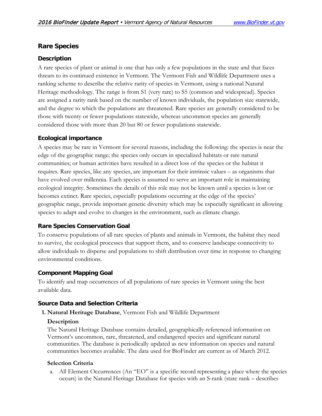# <span id="page-37-0"></span>**Rare Species**

### **Description**

A rare species of plant or animal is one that has only a few populations in the state and that faces threats to its continued existence in Vermont. The Vermont Fish and Wildlife Department uses a ranking scheme to describe the relative rarity of species in Vermont, using a national Natural Heritage methodology. The range is from S1 (very rare) to S5 (common and widespread). Species are assigned a rarity rank based on the number of known individuals, the population size statewide, and the degree to which the populations are threatened. Rare species are generally considered to be those with twenty or fewer populations statewide, whereas uncommon species are generally considered those with more than 20 but 80 or fewer populations statewide.

### **Ecological importance**

A species may be rare in Vermont for several reasons, including the following: the species is near the edge of the geographic range; the species only occurs in specialized habitats or rare natural communities; or human activities have resulted in a direct loss of the species or the habitat it requires. Rare species, like any species, are important for their intrinsic values – as organisms that have evolved over millennia. Each species is assumed to serve an important role in maintaining ecological integrity. Sometimes the details of this role may not be known until a species is lost or becomes extinct. Rare species, especially populations occurring at the edge of the species' geographic range, provide important genetic diversity which may be especially significant in allowing species to adapt and evolve to changes in the environment, such as climate change.

### **Rare Species Conservation Goal**

To conserve populations of all rare species of plants and animals in Vermont, the habitat they need to survive, the ecological processes that support them, and to conserve landscape connectivity to allow individuals to disperse and populations to shift distribution over time in response to changing environmental conditions.

# **Component Mapping Goal**

To identify and map occurrences of all populations of rare species in Vermont using the best available data.

### **Source Data and Selection Criteria**

### **1. Natural Heritage Database**, Vermont Fish and Wildlife Department

### **Description**

The Natural Heritage Database contains detailed, geographically-referenced information on Vermont's uncommon, rare, threatened, and endangered species and significant natural communities. The database is periodically updated as new information on species and natural communities becomes available. The data used for BioFinder are current as of March 2012.

### **Selection Criteria**

a. All Element Occurrences (An "EO" is a specific record representing a place where the species occurs) in the Natural Heritage Database for species with an S-rank (state rank – describes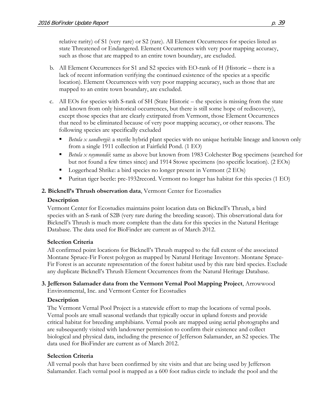relative rarity) of S1 (very rare) or S2 (rare). All Element Occurrences for species listed as state Threatened or Endangered. Element Occurrences with very poor mapping accuracy, such as those that are mapped to an entire town boundary, are excluded.

- b. All Element Occurrences for S1 and S2 species with EO-rank of H (Historic there is a lack of recent information verifying the continued existence of the species at a specific location). Element Occurrences with very poor mapping accuracy, such as those that are mapped to an entire town boundary, are excluded.
- c. All EOs for species with S-rank of SH (State Historic the species is missing from the state and known from only historical occurrences, but there is still some hope of rediscovery), except those species that are clearly extirpated from Vermont, those Element Occurrences that need to be eliminated because of very poor mapping accuracy, or other reasons. The following species are specifically excluded
	- *Betula x sandbergii*: a sterile hybrid plant species with no unique heritable lineage and known only from a single 1911 collection at Fairfield Pond. (1 EO)
	- *Betula x raymundii*: same as above but known from 1983 Colchester Bog specimens (searched for but not found a few times since) and 1914 Stowe specimens (no specific location). (2 EOs)
	- Loggerhead Shrike: a bird species no longer present in Vermont (2 EOs)
	- Puritan tiger beetle: pre-1932record. Vermont no longer has habitat for this species (1 EO)

### **2. Bicknell's Thrush observation data**, Vermont Center for Ecostudies

### **Description**

Vermont Center for Ecostudies maintains point location data on Bicknell's Thrush, a bird species with an S-rank of S2B (very rare during the breeding season). This observational data for Bicknell's Thrush is much more complete than the data for this species in the Natural Heritage Database. The data used for BioFinder are current as of March 2012.

# **Selection Criteria**

All confirmed point locations for Bicknell's Thrush mapped to the full extent of the associated Montane Spruce-Fir Forest polygon as mapped by Natural Heritage Inventory. Montane Spruce-Fir Forest is an accurate representation of the forest habitat used by this rare bird species. Exclude any duplicate Bicknell's Thrush Element Occurrences from the Natural Heritage Database.

### **3. Jefferson Salamader data from the Vermont Vernal Pool Mapping Project**, Arrowwood Environmental, Inc. and Vermont Center for Ecostudies

# **Description**

The Vermont Vernal Pool Project is a statewide effort to map the locations of vernal pools. Vernal pools are small seasonal wetlands that typically occur in upland forests and provide critical habitat for breeding amphibians. Vernal pools are mapped using aerial photographs and are subsequently visited with landowner permission to confirm their existence and collect biological and physical data, including the presence of Jefferson Salamander, an S2 species. The data used for BioFinder are current as of March 2012.

### **Selection Criteria**

All vernal pools that have been confirmed by site visits and that are being used by Jefferson Salamander. Each vernal pool is mapped as a 600 foot radius circle to include the pool and the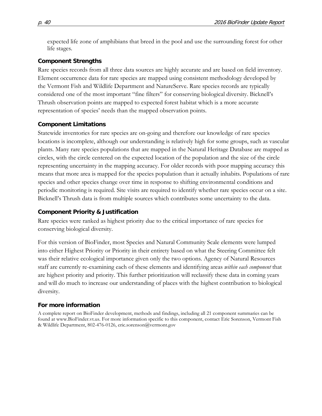expected life zone of amphibians that breed in the pool and use the surrounding forest for other life stages.

#### **Component Strengths**

Rare species records from all three data sources are highly accurate and are based on field inventory. Element occurrence data for rare species are mapped using consistent methodology developed by the Vermont Fish and Wildlife Department and NatureServe. Rare species records are typically considered one of the most important "fine filters" for conserving biological diversity. Bicknell's Thrush observation points are mapped to expected forest habitat which is a more accurate representation of species' needs than the mapped observation points.

### **Component Limitations**

Statewide inventories for rare species are on-going and therefore our knowledge of rare species locations is incomplete, although our understanding is relatively high for some groups, such as vascular plants. Many rare species populations that are mapped in the Natural Heritage Database are mapped as circles, with the circle centered on the expected location of the population and the size of the circle representing uncertainty in the mapping accuracy. For older records with poor mapping accuracy this means that more area is mapped for the species population than it actually inhabits. Populations of rare species and other species change over time in response to shifting environmental conditions and periodic monitoring is required. Site visits are required to identify whether rare species occur on a site. Bicknell's Thrush data is from multiple sources which contributes some uncertainty to the data.

### **Component Priority & Justification**

Rare species were ranked as highest priority due to the critical importance of rare species for conserving biological diversity.

For this version of BioFinder, most Species and Natural Community Scale elements were lumped into either Highest Priority or Priority in their entirety based on what the Steering Committee felt was their relative ecological importance given only the two options. Agency of Natural Resources staff are currently re-examining each of these elements and identifying areas *within each component* that are highest priority and priority. This further prioritization will reclassify these data in coming years and will do much to increase our understanding of places with the highest contribution to biological diversity.

### **For more information**

A complete report on BioFinder development, methods and findings, including all 21 component summaries can be found at www.BioFinder.vt.us. For more information specific to this component, contact Eric Sorenson, Vermont Fish & Wildlife Department, 802-476-0126, eric.sorenson@vermont.gov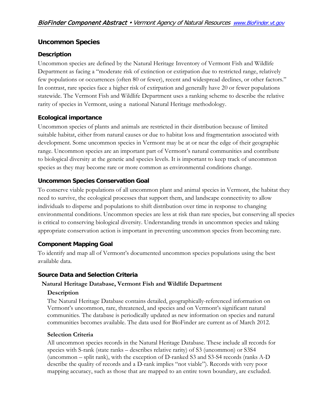# <span id="page-40-0"></span>**Uncommon Species**

### **Description**

Uncommon species are defined by the Natural Heritage Inventory of Vermont Fish and Wildlife Department as facing a "moderate risk of extinction or extirpation due to restricted range, relatively few populations or occurrences (often 80 or fewer), recent and widespread declines, or other factors." In contrast, rare species face a higher risk of extirpation and generally have 20 or fewer populations statewide. The Vermont Fish and Wildlife Department uses a ranking scheme to describe the relative rarity of species in Vermont, using a national Natural Heritage methodology.

### **Ecological importance**

Uncommon species of plants and animals are restricted in their distribution because of limited suitable habitat, either from natural causes or due to habitat loss and fragmentation associated with development. Some uncommon species in Vermont may be at or near the edge of their geographic range. Uncommon species are an important part of Vermont's natural communities and contribute to biological diversity at the genetic and species levels. It is important to keep track of uncommon species as they may become rare or more common as environmental conditions change.

# **Uncommon Species Conservation Goal**

To conserve viable populations of all uncommon plant and animal species in Vermont, the habitat they need to survive, the ecological processes that support them, and landscape connectivity to allow individuals to disperse and populations to shift distribution over time in response to changing environmental conditions. Uncommon species are less at risk than rare species, but conserving all species is critical to conserving biological diversity. Understanding trends in uncommon species and taking appropriate conservation action is important in preventing uncommon species from becoming rare.

# **Component Mapping Goal**

To identify and map all of Vermont's documented uncommon species populations using the best available data.

### **Source Data and Selection Criteria**

### **Natural Heritage Database, Vermont Fish and Wildlife Department**

### **Description**

The Natural Heritage Database contains detailed, geographically-referenced information on Vermont's uncommon, rare, threatened, and species and on Vermont's significant natural communities. The database is periodically updated as new information on species and natural communities becomes available. The data used for BioFinder are current as of March 2012.

### **Selection Criteria**

All uncommon species records in the Natural Heritage Database. These include all records for species with S-rank (state ranks – describes relative rarity) of S3 (uncommon) or S3S4 (uncommon – split rank), with the exception of D-ranked S3 and S3-S4 records (ranks A-D describe the quality of records and a D-rank implies "not viable"). Records with very poor mapping accuracy, such as those that are mapped to an entire town boundary, are excluded.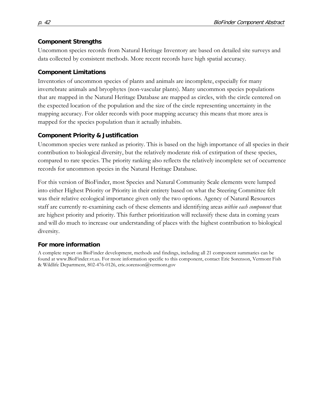### **Component Strengths**

Uncommon species records from Natural Heritage Inventory are based on detailed site surveys and data collected by consistent methods. More recent records have high spatial accuracy.

# **Component Limitations**

Inventories of uncommon species of plants and animals are incomplete, especially for many invertebrate animals and bryophytes (non-vascular plants). Many uncommon species populations that are mapped in the Natural Heritage Database are mapped as circles, with the circle centered on the expected location of the population and the size of the circle representing uncertainty in the mapping accuracy. For older records with poor mapping accuracy this means that more area is mapped for the species population than it actually inhabits.

# **Component Priority & Justification**

Uncommon species were ranked as priority. This is based on the high importance of all species in their contribution to biological diversity, but the relatively moderate risk of extirpation of these species, compared to rare species. The priority ranking also reflects the relatively incomplete set of occurrence records for uncommon species in the Natural Heritage Database.

For this version of BioFinder, most Species and Natural Community Scale elements were lumped into either Highest Priority or Priority in their entirety based on what the Steering Committee felt was their relative ecological importance given only the two options. Agency of Natural Resources staff are currently re-examining each of these elements and identifying areas *within each component* that are highest priority and priority. This further prioritization will reclassify these data in coming years and will do much to increase our understanding of places with the highest contribution to biological diversity.

# **For more information**

A complete report on BioFinder development, methods and findings, including all 21 component summaries can be found at www.BioFinder.vt.us. For more information specific to this component, contact Eric Sorenson, Vermont Fish & Wildlife Department, 802-476-0126, eric.sorenson@vermont.gov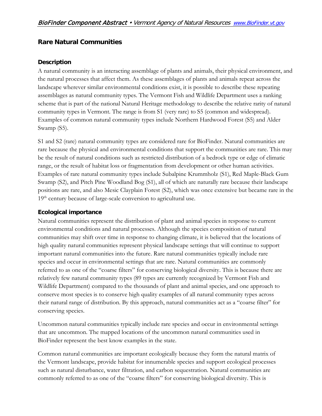# <span id="page-42-0"></span>**Rare Natural Communities**

#### **Description**

A natural community is an interacting assemblage of plants and animals, their physical environment, and the natural processes that affect them. As these assemblages of plants and animals repeat across the landscape wherever similar environmental conditions exist, it is possible to describe these repeating assemblages as natural community types. The Vermont Fish and Wildlife Department uses a ranking scheme that is part of the national Natural Heritage methodology to describe the relative rarity of natural community types in Vermont. The range is from S1 (very rare) to S5 (common and widespread). Examples of common natural community types include Northern Hardwood Forest (S5) and Alder Swamp (S5).

S1 and S2 (rare) natural community types are considered rare for BioFinder. Natural communities are rare because the physical and environmental conditions that support the communities are rare. This may be the result of natural conditions such as restricted distribution of a bedrock type or edge of climatic range, or the result of habitat loss or fragmentation from development or other human activities. Examples of rare natural community types include Subalpine Krummholz (S1), Red Maple-Black Gum Swamp (S2), and Pitch Pine Woodland Bog (S1), all of which are naturally rare because their landscape positions are rare, and also Mesic Clayplain Forest (S2), which was once extensive but became rare in the  $19<sup>th</sup>$  century because of large-scale conversion to agricultural use.

### **Ecological importance**

Natural communities represent the distribution of plant and animal species in response to current environmental conditions and natural processes. Although the species composition of natural communities may shift over time in response to changing climate, it is believed that the locations of high quality natural communities represent physical landscape settings that will continue to support important natural communities into the future. Rare natural communities typically include rare species and occur in environmental settings that are rare. Natural communities are commonly referred to as one of the "coarse filters" for conserving biological diversity. This is because there are relatively few natural community types (89 types are currently recognized by Vermont Fish and Wildlife Department) compared to the thousands of plant and animal species, and one approach to conserve most species is to conserve high quality examples of all natural community types across their natural range of distribution. By this approach, natural communities act as a "coarse filter" for conserving species.

Uncommon natural communities typically include rare species and occur in environmental settings that are uncommon. The mapped locations of the uncommon natural communities used in BioFinder represent the best know examples in the state.

Common natural communities are important ecologically because they form the natural matrix of the Vermont landscape, provide habitat for innumerable species and support ecological processes such as natural disturbance, water filtration, and carbon sequestration. Natural communities are commonly referred to as one of the "coarse filters" for conserving biological diversity. This is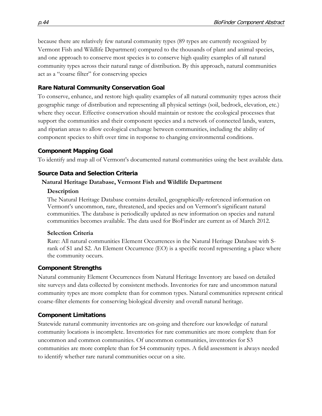because there are relatively few natural community types (89 types are currently recognized by Vermont Fish and Wildlife Department) compared to the thousands of plant and animal species, and one approach to conserve most species is to conserve high quality examples of all natural community types across their natural range of distribution. By this approach, natural communities act as a "coarse filter" for conserving species

# **Rare Natural Community Conservation Goal**

To conserve, enhance, and restore high quality examples of all natural community types across their geographic range of distribution and representing all physical settings (soil, bedrock, elevation, etc.) where they occur. Effective conservation should maintain or restore the ecological processes that support the communities and their component species and a network of connected lands, waters, and riparian areas to allow ecological exchange between communities, including the ability of component species to shift over time in response to changing environmental conditions.

### **Component Mapping Goal**

To identify and map all of Vermont's documented natural communities using the best available data.

### **Source Data and Selection Criteria**

### **Natural Heritage Database, Vermont Fish and Wildlife Department**

#### **Description**

The Natural Heritage Database contains detailed, geographically-referenced information on Vermont's uncommon, rare, threatened, and species and on Vermont's significant natural communities. The database is periodically updated as new information on species and natural communities becomes available. The data used for BioFinder are current as of March 2012.

### **Selection Criteria**

Rare: All natural communities Element Occurrences in the Natural Heritage Database with Srank of S1 and S2. An Element Occurrence (EO) is a specific record representing a place where the community occurs.

### **Component Strengths**

Natural community Element Occurrences from Natural Heritage Inventory are based on detailed site surveys and data collected by consistent methods. Inventories for rare and uncommon natural community types are more complete than for common types. Natural communities represent critical coarse-filter elements for conserving biological diversity and overall natural heritage.

# **Component Limitations**

Statewide natural community inventories are on-going and therefore our knowledge of natural community locations is incomplete. Inventories for rare communities are more complete than for uncommon and common communities. Of uncommon communities, inventories for S3 communities are more complete than for S4 community types. A field assessment is always needed to identify whether rare natural communities occur on a site.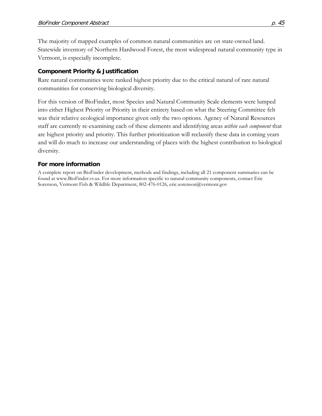The majority of mapped examples of common natural communities are on state-owned land. Statewide inventory of Northern Hardwood Forest, the most widespread natural community type in Vermont, is especially incomplete.

### **Component Priority & Justification**

Rare natural communities were ranked highest priority due to the critical natural of rare natural communities for conserving biological diversity.

For this version of BioFinder, most Species and Natural Community Scale elements were lumped into either Highest Priority or Priority in their entirety based on what the Steering Committee felt was their relative ecological importance given only the two options. Agency of Natural Resources staff are currently re-examining each of these elements and identifying areas *within each component* that are highest priority and priority. This further prioritization will reclassify these data in coming years and will do much to increase our understanding of places with the highest contribution to biological diversity.

#### **For more information**

A complete report on BioFinder development, methods and findings, including all 21 component summaries can be found at www.BioFinder.vt.us. For more information specific to natural community components, contact Eric Sorenson, Vermont Fish & Wildlife Department, 802-476-0126, eric.sorenson@vermont.gov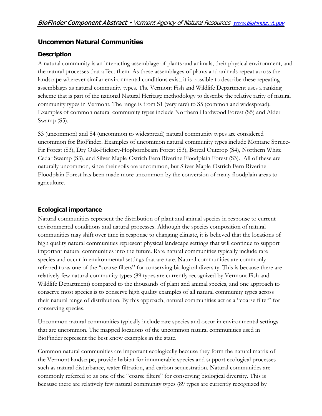# <span id="page-45-0"></span>**Uncommon Natural Communities**

### **Description**

A natural community is an interacting assemblage of plants and animals, their physical environment, and the natural processes that affect them. As these assemblages of plants and animals repeat across the landscape wherever similar environmental conditions exist, it is possible to describe these repeating assemblages as natural community types. The Vermont Fish and Wildlife Department uses a ranking scheme that is part of the national Natural Heritage methodology to describe the relative rarity of natural community types in Vermont. The range is from S1 (very rare) to S5 (common and widespread). Examples of common natural community types include Northern Hardwood Forest (S5) and Alder Swamp (S5).

S3 (uncommon) and S4 (uncommon to widespread) natural community types are considered uncommon for BioFinder. Examples of uncommon natural community types include Montane Spruce-Fir Forest (S3), Dry Oak-Hickory-Hophornbeam Forest (S3), Boreal Outcrop (S4), Northern White Cedar Swamp (S3), and Silver Maple-Ostrich Fern Riverine Floodplain Forest (S3). All of these are naturally uncommon, since their soils are uncommon, but Sliver Maple-Ostrich Fern Riverine Floodplain Forest has been made more uncommon by the conversion of many floodplain areas to agriculture.

# **Ecological importance**

Natural communities represent the distribution of plant and animal species in response to current environmental conditions and natural processes. Although the species composition of natural communities may shift over time in response to changing climate, it is believed that the locations of high quality natural communities represent physical landscape settings that will continue to support important natural communities into the future. Rare natural communities typically include rare species and occur in environmental settings that are rare. Natural communities are commonly referred to as one of the "coarse filters" for conserving biological diversity. This is because there are relatively few natural community types (89 types are currently recognized by Vermont Fish and Wildlife Department) compared to the thousands of plant and animal species, and one approach to conserve most species is to conserve high quality examples of all natural community types across their natural range of distribution. By this approach, natural communities act as a "coarse filter" for conserving species.

Uncommon natural communities typically include rare species and occur in environmental settings that are uncommon. The mapped locations of the uncommon natural communities used in BioFinder represent the best know examples in the state.

Common natural communities are important ecologically because they form the natural matrix of the Vermont landscape, provide habitat for innumerable species and support ecological processes such as natural disturbance, water filtration, and carbon sequestration. Natural communities are commonly referred to as one of the "coarse filters" for conserving biological diversity. This is because there are relatively few natural community types (89 types are currently recognized by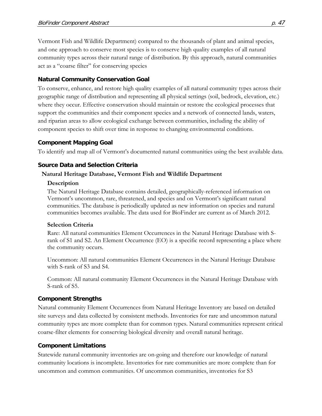Vermont Fish and Wildlife Department) compared to the thousands of plant and animal species, and one approach to conserve most species is to conserve high quality examples of all natural community types across their natural range of distribution. By this approach, natural communities act as a "coarse filter" for conserving species

#### **Natural Community Conservation Goal**

To conserve, enhance, and restore high quality examples of all natural community types across their geographic range of distribution and representing all physical settings (soil, bedrock, elevation, etc.) where they occur. Effective conservation should maintain or restore the ecological processes that support the communities and their component species and a network of connected lands, waters, and riparian areas to allow ecological exchange between communities, including the ability of component species to shift over time in response to changing environmental conditions.

#### **Component Mapping Goal**

To identify and map all of Vermont's documented natural communities using the best available data.

#### **Source Data and Selection Criteria**

#### **Natural Heritage Database, Vermont Fish and Wildlife Department**

#### **Description**

The Natural Heritage Database contains detailed, geographically-referenced information on Vermont's uncommon, rare, threatened, and species and on Vermont's significant natural communities. The database is periodically updated as new information on species and natural communities becomes available. The data used for BioFinder are current as of March 2012.

#### **Selection Criteria**

Rare: All natural communities Element Occurrences in the Natural Heritage Database with Srank of S1 and S2. An Element Occurrence (EO) is a specific record representing a place where the community occurs.

Uncommon: All natural communities Element Occurrences in the Natural Heritage Database with S-rank of S3 and S4.

Common: All natural community Element Occurrences in the Natural Heritage Database with S-rank of S5.

#### **Component Strengths**

Natural community Element Occurrences from Natural Heritage Inventory are based on detailed site surveys and data collected by consistent methods. Inventories for rare and uncommon natural community types are more complete than for common types. Natural communities represent critical coarse-filter elements for conserving biological diversity and overall natural heritage.

#### **Component Limitations**

Statewide natural community inventories are on-going and therefore our knowledge of natural community locations is incomplete. Inventories for rare communities are more complete than for uncommon and common communities. Of uncommon communities, inventories for S3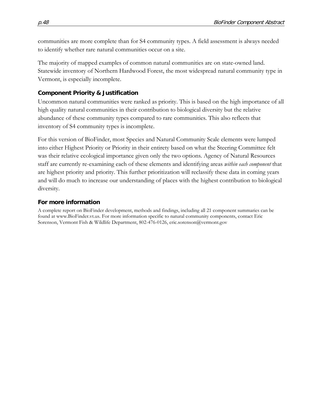communities are more complete than for S4 community types. A field assessment is always needed to identify whether rare natural communities occur on a site.

The majority of mapped examples of common natural communities are on state-owned land. Statewide inventory of Northern Hardwood Forest, the most widespread natural community type in Vermont, is especially incomplete.

#### **Component Priority & Justification**

Uncommon natural communities were ranked as priority. This is based on the high importance of all high quality natural communities in their contribution to biological diversity but the relative abundance of these community types compared to rare communities. This also reflects that inventory of S4 community types is incomplete.

For this version of BioFinder, most Species and Natural Community Scale elements were lumped into either Highest Priority or Priority in their entirety based on what the Steering Committee felt was their relative ecological importance given only the two options. Agency of Natural Resources staff are currently re-examining each of these elements and identifying areas *within each component* that are highest priority and priority. This further prioritization will reclassify these data in coming years and will do much to increase our understanding of places with the highest contribution to biological diversity.

#### **For more information**

A complete report on BioFinder development, methods and findings, including all 21 component summaries can be found at www.BioFinder.vt.us. For more information specific to natural community components, contact Eric Sorenson, Vermont Fish & Wildlife Department, 802-476-0126, eric.sorenson@vermont.gov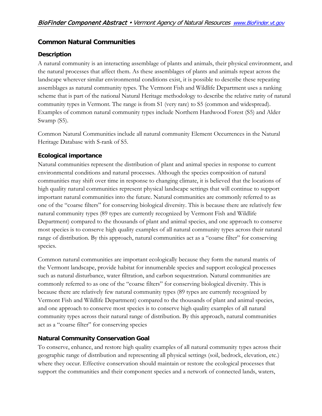# <span id="page-48-0"></span>**Common Natural Communities**

### **Description**

A natural community is an interacting assemblage of plants and animals, their physical environment, and the natural processes that affect them. As these assemblages of plants and animals repeat across the landscape wherever similar environmental conditions exist, it is possible to describe these repeating assemblages as natural community types. The Vermont Fish and Wildlife Department uses a ranking scheme that is part of the national Natural Heritage methodology to describe the relative rarity of natural community types in Vermont. The range is from S1 (very rare) to S5 (common and widespread). Examples of common natural community types include Northern Hardwood Forest (S5) and Alder Swamp (S5).

Common Natural Communities include all natural community Element Occurrences in the Natural Heritage Database with S-rank of S5.

# **Ecological importance**

Natural communities represent the distribution of plant and animal species in response to current environmental conditions and natural processes. Although the species composition of natural communities may shift over time in response to changing climate, it is believed that the locations of high quality natural communities represent physical landscape settings that will continue to support important natural communities into the future. Natural communities are commonly referred to as one of the "coarse filters" for conserving biological diversity. This is because there are relatively few natural community types (89 types are currently recognized by Vermont Fish and Wildlife Department) compared to the thousands of plant and animal species, and one approach to conserve most species is to conserve high quality examples of all natural community types across their natural range of distribution. By this approach, natural communities act as a "coarse filter" for conserving species.

Common natural communities are important ecologically because they form the natural matrix of the Vermont landscape, provide habitat for innumerable species and support ecological processes such as natural disturbance, water filtration, and carbon sequestration. Natural communities are commonly referred to as one of the "coarse filters" for conserving biological diversity. This is because there are relatively few natural community types (89 types are currently recognized by Vermont Fish and Wildlife Department) compared to the thousands of plant and animal species, and one approach to conserve most species is to conserve high quality examples of all natural community types across their natural range of distribution. By this approach, natural communities act as a "coarse filter" for conserving species

# **Natural Community Conservation Goal**

To conserve, enhance, and restore high quality examples of all natural community types across their geographic range of distribution and representing all physical settings (soil, bedrock, elevation, etc.) where they occur. Effective conservation should maintain or restore the ecological processes that support the communities and their component species and a network of connected lands, waters,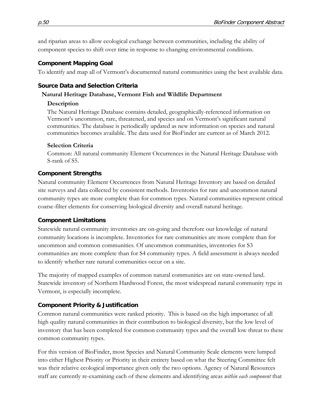and riparian areas to allow ecological exchange between communities, including the ability of component species to shift over time in response to changing environmental conditions.

### **Component Mapping Goal**

To identify and map all of Vermont's documented natural communities using the best available data.

# **Source Data and Selection Criteria**

### **Natural Heritage Database, Vermont Fish and Wildlife Department**

### **Description**

The Natural Heritage Database contains detailed, geographically-referenced information on Vermont's uncommon, rare, threatened, and species and on Vermont's significant natural communities. The database is periodically updated as new information on species and natural communities becomes available. The data used for BioFinder are current as of March 2012.

### **Selection Criteria**

Common: All natural community Element Occurrences in the Natural Heritage Database with S-rank of S5.

# **Component Strengths**

Natural community Element Occurrences from Natural Heritage Inventory are based on detailed site surveys and data collected by consistent methods. Inventories for rare and uncommon natural community types are more complete than for common types. Natural communities represent critical coarse-filter elements for conserving biological diversity and overall natural heritage.

# **Component Limitations**

Statewide natural community inventories are on-going and therefore our knowledge of natural community locations is incomplete. Inventories for rare communities are more complete than for uncommon and common communities. Of uncommon communities, inventories for S3 communities are more complete than for S4 community types. A field assessment is always needed to identify whether rare natural communities occur on a site.

The majority of mapped examples of common natural communities are on state-owned land. Statewide inventory of Northern Hardwood Forest, the most widespread natural community type in Vermont, is especially incomplete.

# **Component Priority & Justification**

Common natural communities were ranked priority. This is based on the high importance of all high quality natural communities in their contribution to biological diversity, but the low level of inventory that has been completed for common community types and the overall low threat to these common community types.

For this version of BioFinder, most Species and Natural Community Scale elements were lumped into either Highest Priority or Priority in their entirety based on what the Steering Committee felt was their relative ecological importance given only the two options. Agency of Natural Resources staff are currently re-examining each of these elements and identifying areas *within each component* that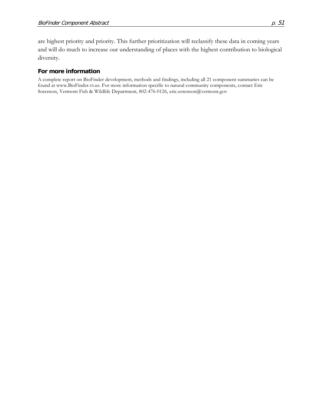are highest priority and priority. This further prioritization will reclassify these data in coming years and will do much to increase our understanding of places with the highest contribution to biological diversity.

#### **For more information**

A complete report on BioFinder development, methods and findings, including all 21 component summaries can be found at www.BioFinder.vt.us. For more information specific to natural community components, contact Eric Sorenson, Vermont Fish & Wildlife Department, 802-476-0126, eric.sorenson@vermont.gov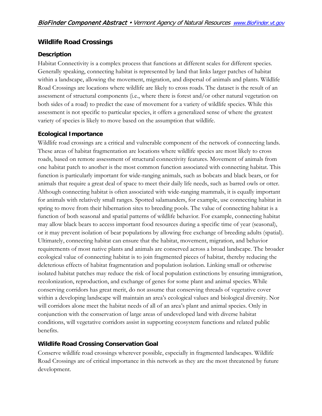### <span id="page-51-0"></span>**Wildlife Road Crossings**

### **Description**

Habitat Connectivity is a complex process that functions at different scales for different species. Generally speaking, connecting habitat is represented by land that links larger patches of habitat within a landscape, allowing the movement, migration, and dispersal of animals and plants. Wildlife Road Crossings are locations where wildlife are likely to cross roads. The dataset is the result of an assessment of structural components (i.e., where there is forest and/or other natural vegetation on both sides of a road) to predict the ease of movement for a variety of wildlife species. While this assessment is not specific to particular species, it offers a generalized sense of where the greatest variety of species is likely to move based on the assumption that wildlife.

#### **Ecological Importance**

Wildlife road crossings are a critical and vulnerable component of the network of connecting lands. These areas of habitat fragmentation are locations where wildlife species are most likely to cross roads, based on remote assessment of structural connectivity features. Movement of animals from one habitat patch to another is the most common function associated with connecting habitat. This function is particularly important for wide-ranging animals, such as bobcats and black bears, or for animals that require a great deal of space to meet their daily life needs, such as barred owls or otter. Although connecting habitat is often associated with wide-ranging mammals, it is equally important for animals with relatively small ranges. Spotted salamanders, for example, use connecting habitat in spring to move from their hibernation sites to breeding pools. The value of connecting habitat is a function of both seasonal and spatial patterns of wildlife behavior. For example, connecting habitat may allow black bears to access important food resources during a specific time of year (seasonal), or it may prevent isolation of bear populations by allowing free exchange of breeding adults (spatial). Ultimately, connecting habitat can ensure that the habitat, movement, migration, and behavior requirements of most native plants and animals are conserved across a broad landscape. The broader ecological value of connecting habitat is to join fragmented pieces of habitat, thereby reducing the deleterious effects of habitat fragmentation and population isolation. Linking small or otherwise isolated habitat patches may reduce the risk of local population extinctions by ensuring immigration, recolonization, reproduction, and exchange of genes for some plant and animal species. While conserving corridors has great merit, do not assume that conserving threads of vegetative cover within a developing landscape will maintain an area's ecological values and biological diversity. Nor will corridors alone meet the habitat needs of all of an area's plant and animal species. Only in conjunction with the conservation of large areas of undeveloped land with diverse habitat conditions, will vegetative corridors assist in supporting ecosystem functions and related public benefits.

### **Wildlife Road Crossing Conservation Goal**

Conserve wildlife road crossings wherever possible, especially in fragmented landscapes. Wildlife Road Crossings are of critical importance in this network as they are the most threatened by future development.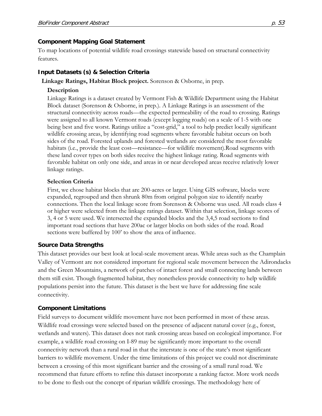#### **Component Mapping Goal Statement**

To map locations of potential wildlife road crossings statewide based on structural connectivity features.

### **Input Datasets (s) & Selection Criteria**

**Linkage Ratings, Habitat Block project.** Sorenson & Osborne, in prep.

### **Description**

Linkage Ratings is a dataset created by Vermont Fish & Wildlife Department using the Habitat Block dataset (Sorenson & Osborne, in prep.). A Linkage Ratings is an assessment of the structural connectivity across roads—the expected permeability of the road to crossing. Ratings were assigned to all known Vermont roads (except logging roads) on a scale of 1-5 with one being best and five worst. Ratings utilize a "cost-grid," a tool to help predict locally significant wildlife crossing areas, by identifying road segments where favorable habitat occurs on both sides of the road. Forested uplands and forested wetlands are considered the most favorable habitats (i.e., provide the least cost—resistance—for wildlife movement).Road segments with these land cover types on both sides receive the highest linkage rating. Road segments with favorable habitat on only one side, and areas in or near developed areas receive relatively lower linkage ratings.

### **Selection Criteria**

First, we chose habitat blocks that are 200-acres or larger. Using GIS software, blocks were expanded, regrouped and then shrunk 80m from original polygon size to identify nearby connections. Then the local linkage score from Sorenson & Osborne was used. All roads class 4 or higher were selected from the linkage ratings dataset. Within that selection, linkage scores of 3, 4 or 5 were used. We intersected the expanded blocks and the 3,4,5 road sections to find important road sections that have 200ac or larger blocks on both sides of the road. Road sections were buffered by 100' to show the area of influence.

### **Source Data Strengths**

This dataset provides our best look at local-scale movement areas. While areas such as the Champlain Valley of Vermont are not considered important for regional scale movement between the Adirondacks and the Green Mountains, a network of patches of intact forest and small connecting lands between them still exist. Though fragmented habitat, they nonetheless provide connectivity to help wildlife populations persist into the future. This dataset is the best we have for addressing fine scale connectivity.

### **Component Limitations**

Field surveys to document wildlife movement have not been performed in most of these areas. Wildlife road crossings were selected based on the presence of adjacent natural cover (e.g., forest, wetlands and waters). This dataset does not rank crossing areas based on ecological importance. For example, a wildlife road crossing on I-89 may be significantly more important to the overall connectivity network than a rural road in that the interstate is one of the state's most significant barriers to wildlife movement. Under the time limitations of this project we could not discriminate between a crossing of this most significant barrier and the crossing of a small rural road. We recommend that future efforts to refine this dataset incorporate a ranking factor. More work needs to be done to flesh out the concept of riparian wildlife crossings. The methodology here of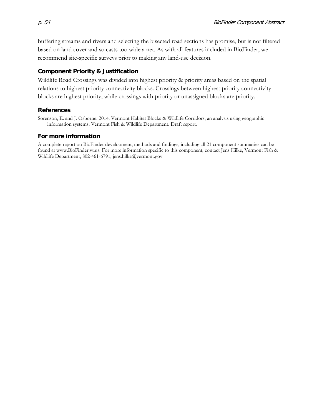buffering streams and rivers and selecting the bisected road sections has promise, but is not filtered based on land cover and so casts too wide a net. As with all features included in BioFinder, we recommend site-specific surveys prior to making any land-use decision.

#### **Component Priority & Justification**

Wildlife Road Crossings was divided into highest priority & priority areas based on the spatial relations to highest priority connectivity blocks. Crossings between highest priority connectivity blocks are highest priority, while crossings with priority or unassigned blocks are priority.

#### **References**

Sorenson, E. and J. Osborne. 2014. Vermont Habitat Blocks & Wildlife Corridors, an analysis using geographic information systems. Vermont Fish & Wildlife Department. Draft report.

#### **For more information**

A complete report on BioFinder development, methods and findings, including all 21 component summaries can be found at www.BioFinder.vt.us. For more information specific to this component, contact Jens Hilke, Vermont Fish & Wildlife Department, 802-461-6791, jens.hilke@vermont.gov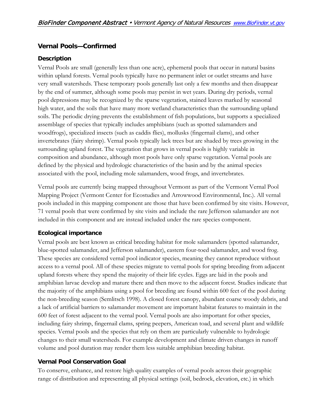# <span id="page-54-0"></span>**Vernal Pools—Confirmed**

### **Description**

Vernal Pools are small (generally less than one acre), ephemeral pools that occur in natural basins within upland forests. Vernal pools typically have no permanent inlet or outlet streams and have very small watersheds. These temporary pools generally last only a few months and then disappear by the end of summer, although some pools may persist in wet years. During dry periods, vernal pool depressions may be recognized by the sparse vegetation, stained leaves marked by seasonal high water, and the soils that have many more wetland characteristics than the surrounding upland soils. The periodic drying prevents the establishment of fish populations, but supports a specialized assemblage of species that typically includes amphibians (such as spotted salamanders and woodfrogs), specialized insects (such as caddis flies), mollusks (fingernail clams), and other invertebrates (fairy shrimp). Vernal pools typically lack trees but are shaded by trees growing in the surrounding upland forest. The vegetation that grows in vernal pools is highly variable in composition and abundance, although most pools have only sparse vegetation. Vernal pools are defined by the physical and hydrologic characteristics of the basin and by the animal species associated with the pool, including mole salamanders, wood frogs, and invertebrates.

Vernal pools are currently being mapped throughout Vermont as part of the Vermont Vernal Pool Mapping Project (Vermont Center for Ecostudies and Arrowwood Environmental, Inc.). All vernal pools included in this mapping component are those that have been confirmed by site visits. However, 71 vernal pools that were confirmed by site visits and include the rare Jefferson salamander are not included in this component and are instead included under the rare species component.

### **Ecological importance**

Vernal pools are best known as critical breeding habitat for mole salamanders (spotted salamander, blue-spotted salamander, and Jefferson salamander), eastern four-toed salamander, and wood frog. These species are considered vernal pool indicator species, meaning they cannot reproduce without access to a vernal pool. All of these species migrate to vernal pools for spring breeding from adjacent upland forests where they spend the majority of their life cycles. Eggs are laid in the pools and amphibian larvae develop and mature there and then move to the adjacent forest. Studies indicate that the majority of the amphibians using a pool for breeding are found within 600 feet of the pool during the non-breeding season (Semlitsch 1998). A closed forest canopy, abundant coarse woody debris, and a lack of artificial barriers to salamander movement are important habitat features to maintain in the 600 feet of forest adjacent to the vernal pool. Vernal pools are also important for other species, including fairy shrimp, fingernail clams, spring peepers, American toad, and several plant and wildlife species. Vernal pools and the species that rely on them are particularly vulnerable to hydrologic changes to their small watersheds. For example development and climate driven changes in runoff volume and pool duration may render them less suitable amphibian breeding habitat.

### **Vernal Pool Conservation Goal**

To conserve, enhance, and restore high quality examples of vernal pools across their geographic range of distribution and representing all physical settings (soil, bedrock, elevation, etc.) in which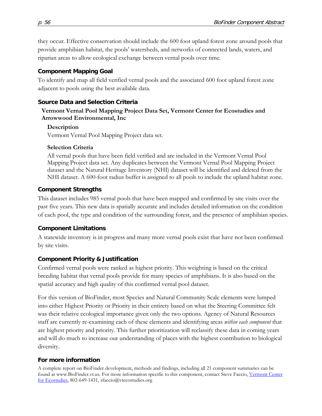they occur. Effective conservation should include the 600 foot upland forest zone around pools that provide amphibian habitat, the pools' watersheds, and networks of connected lands, waters, and riparian areas to allow ecological exchange between vernal pools over time.

# **Component Mapping Goal**

To identify and map all field verified vernal pools and the associated 600 foot upland forest zone adjacent to pools using the best available data.

# **Source Data and Selection Criteria**

### **Vermont Vernal Pool Mapping Project Data Set, Vermont Center for Ecostudies and Arrowwood Environmental, Inc**

# **Description**

Vermont Vernal Pool Mapping Project data set.

# **Selection Criteria**

All vernal pools that have been field verified and are included in the Vermont Vernal Pool Mapping Project data set. Any duplicates between the Vermont Vernal Pool Mapping Project dataset and the Natural Heritage Inventory (NHI) dataset will be identified and deleted from the NHI dataset. A 600-foot radius buffer is assigned to all pools to include the upland habitat zone.

# **Component Strengths**

This dataset includes 985 vernal pools that have been mapped and confirmed by site visits over the past five years. This new data is spatially accurate and includes detailed information on the condition of each pool, the type and condition of the surrounding forest, and the presence of amphibian species.

# **Component Limitations**

A statewide inventory is in progress and many more vernal pools exist that have not been confirmed by site visits.

# **Component Priority & Justification**

Confirmed vernal pools were ranked as highest priority. This weighting is based on the critical breeding habitat that vernal pools provide for many species of amphibians. It is also based on the spatial accuracy and high quality of this confirmed vernal pool dataset.

For this version of BioFinder, most Species and Natural Community Scale elements were lumped into either Highest Priority or Priority in their entirety based on what the Steering Committee felt was their relative ecological importance given only the two options. Agency of Natural Resources staff are currently re-examining each of these elements and identifying areas *within each component* that are highest priority and priority. This further prioritization will reclassify these data in coming years and will do much to increase our understanding of places with the highest contribution to biological diversity.

# **For more information**

A complete report on BioFinder development, methods and findings, including all 21 component summaries can be found at www.BioFinder.vt.us. For more information specific to this component, contact Steve Faccio, Vermont Center [for Ecostudies,](http://www.vtecostudies.org/) 802-649-1431, sfaccio@vtecostudies.org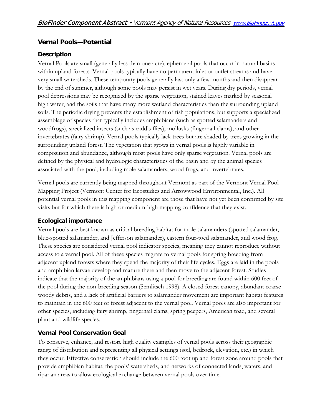### <span id="page-56-0"></span>**Vernal Pools—Potential**

#### **Description**

Vernal Pools are small (generally less than one acre), ephemeral pools that occur in natural basins within upland forests. Vernal pools typically have no permanent inlet or outlet streams and have very small watersheds. These temporary pools generally last only a few months and then disappear by the end of summer, although some pools may persist in wet years. During dry periods, vernal pool depressions may be recognized by the sparse vegetation, stained leaves marked by seasonal high water, and the soils that have many more wetland characteristics than the surrounding upland soils. The periodic drying prevents the establishment of fish populations, but supports a specialized assemblage of species that typically includes amphibians (such as spotted salamanders and woodfrogs), specialized insects (such as caddis flies), mollusks (fingernail clams), and other invertebrates (fairy shrimp). Vernal pools typically lack trees but are shaded by trees growing in the surrounding upland forest. The vegetation that grows in vernal pools is highly variable in composition and abundance, although most pools have only sparse vegetation. Vernal pools are defined by the physical and hydrologic characteristics of the basin and by the animal species associated with the pool, including mole salamanders, wood frogs, and invertebrates.

Vernal pools are currently being mapped throughout Vermont as part of the Vermont Vernal Pool Mapping Project (Vermont Center for Ecostudies and Arrowwood Environmental, Inc.). All potential vernal pools in this mapping component are those that have not yet been confirmed by site visits but for which there is high or medium-high mapping confidence that they exist.

### **Ecological importance**

Vernal pools are best known as critical breeding habitat for mole salamanders (spotted salamander, blue-spotted salamander, and Jefferson salamander), eastern four-toed salamander, and wood frog. These species are considered vernal pool indicator species, meaning they cannot reproduce without access to a vernal pool. All of these species migrate to vernal pools for spring breeding from adjacent upland forests where they spend the majority of their life cycles. Eggs are laid in the pools and amphibian larvae develop and mature there and then move to the adjacent forest. Studies indicate that the majority of the amphibians using a pool for breeding are found within 600 feet of the pool during the non-breeding season (Semlitsch 1998). A closed forest canopy, abundant coarse woody debris, and a lack of artificial barriers to salamander movement are important habitat features to maintain in the 600 feet of forest adjacent to the vernal pool. Vernal pools are also important for other species, including fairy shrimp, fingernail clams, spring peepers, American toad, and several plant and wildlife species.

### **Vernal Pool Conservation Goal**

To conserve, enhance, and restore high quality examples of vernal pools across their geographic range of distribution and representing all physical settings (soil, bedrock, elevation, etc.) in which they occur. Effective conservation should include the 600 foot upland forest zone around pools that provide amphibian habitat, the pools' watersheds, and networks of connected lands, waters, and riparian areas to allow ecological exchange between vernal pools over time.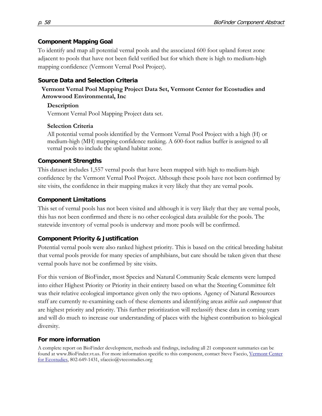#### **Component Mapping Goal**

To identify and map all potential vernal pools and the associated 600 foot upland forest zone adjacent to pools that have not been field verified but for which there is high to medium-high mapping confidence (Vermont Vernal Pool Project).

#### **Source Data and Selection Criteria**

#### **Vermont Vernal Pool Mapping Project Data Set, Vermont Center for Ecostudies and Arrowwood Environmental, Inc**

#### **Description**

Vermont Vernal Pool Mapping Project data set.

#### **Selection Criteria**

All potential vernal pools identified by the Vermont Vernal Pool Project with a high (H) or medium-high (MH) mapping confidence ranking. A 600-foot radius buffer is assigned to all vernal pools to include the upland habitat zone.

#### **Component Strengths**

This dataset includes 1,557 vernal pools that have been mapped with high to medium-high confidence by the Vermont Vernal Pool Project. Although these pools have not been confirmed by site visits, the confidence in their mapping makes it very likely that they are vernal pools.

#### **Component Limitations**

This set of vernal pools has not been visited and although it is very likely that they are vernal pools, this has not been confirmed and there is no other ecological data available for the pools. The statewide inventory of vernal pools is underway and more pools will be confirmed.

### **Component Priority & Justification**

Potential vernal pools were also ranked highest priority. This is based on the critical breeding habitat that vernal pools provide for many species of amphibians, but care should be taken given that these vernal pools have not be confirmed by site visits.

For this version of BioFinder, most Species and Natural Community Scale elements were lumped into either Highest Priority or Priority in their entirety based on what the Steering Committee felt was their relative ecological importance given only the two options. Agency of Natural Resources staff are currently re-examining each of these elements and identifying areas *within each component* that are highest priority and priority. This further prioritization will reclassify these data in coming years and will do much to increase our understanding of places with the highest contribution to biological diversity.

#### **For more information**

A complete report on BioFinder development, methods and findings, including all 21 component summaries can be found at www.BioFinder.vt.us. For more information specific to this component, contact Steve Faccio, [Vermont Center](http://www.vtecostudies.org/)  [for Ecostudies,](http://www.vtecostudies.org/) 802-649-1431, sfaccio@vtecostudies.org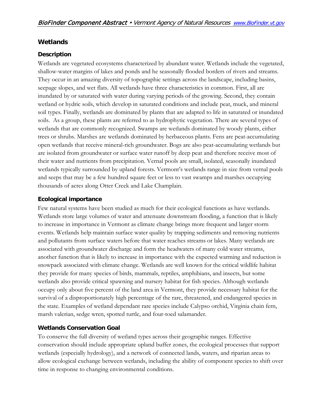### <span id="page-58-0"></span>**Wetlands**

### **Description**

Wetlands are vegetated ecosystems characterized by abundant water. Wetlands include the vegetated, shallow-water margins of lakes and ponds and he seasonally flooded borders of rivers and streams. They occur in an amazing diversity of topographic settings across the landscape, including basins, seepage slopes, and wet flats. All wetlands have three characteristics in common. First, all are inundated by or saturated with water during varying periods of the growing. Second, they contain wetland or hydric soils, which develop in saturated conditions and include peat, muck, and mineral soil types. Finally, wetlands are dominated by plants that are adapted to life in saturated or inundated soils. As a group, these plants are referred to as hydrophytic vegetation. There are several types of wetlands that are commonly recognized. Swamps are wetlands dominated by woody plants, either trees or shrubs. Marshes are wetlands dominated by herbaceous plants. Fens are peat-accumulating open wetlands that receive mineral-rich groundwater. Bogs are also peat-accumulating wetlands but are isolated from groundwater or surface water runoff by deep peat and therefore receive most of their water and nutrients from precipitation. Vernal pools are small, isolated, seasonally inundated wetlands typically surrounded by upland forests. Vermont's wetlands range in size from vernal pools and seeps that may be a few hundred square feet or less to vast swamps and marshes occupying thousands of acres along Otter Creek and Lake Champlain.

### **Ecological importance**

Few natural systems have been studied as much for their ecological functions as have wetlands. Wetlands store large volumes of water and attenuate downstream flooding, a function that is likely to increase in importance in Vermont as climate change brings more frequent and larger storm events. Wetlands help maintain surface water quality by trapping sediments and removing nutrients and pollutants from surface waters before that water reaches streams or lakes. Many wetlands are associated with groundwater discharge and form the headwaters of many cold water streams, another function that is likely to increase in importance with the expected warming and reduction is snowpack associated with climate change. Wetlands are well known for the critical wildlife habitat they provide for many species of birds, mammals, reptiles, amphibians, and insects, but some wetlands also provide critical spawning and nursery habitat for fish species. Although wetlands occupy only about five percent of the land area in Vermont, they provide necessary habitat for the survival of a disproportionately high percentage of the rare, threatened, and endangered species in the state. Examples of wetland dependant rare species include Calypso orchid, Virginia chain fern, marsh valerian, sedge wren, spotted turtle, and four-toed salamander.

# **Wetlands Conservation Goal**

To conserve the full diversity of wetland types across their geographic ranges. Effective conservation should include appropriate upland buffer zones, the ecological processes that support wetlands (especially hydrology), and a network of connected lands, waters, and riparian areas to allow ecological exchange between wetlands, including the ability of component species to shift over time in response to changing environmental conditions.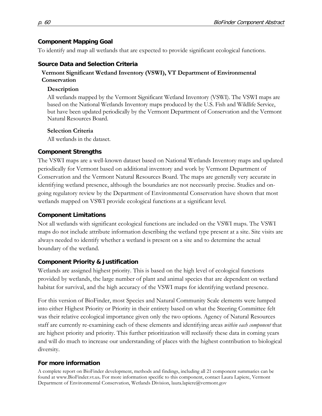### **Component Mapping Goal**

To identify and map all wetlands that are expected to provide significant ecological functions.

### **Source Data and Selection Criteria**

### **Vermont Significant Wetland Inventory (VSWI), VT Department of Environmental Conservation**

### **Description**

All wetlands mapped by the Vermont Significant Wetland Inventory (VSWI). The VSWI maps are based on the National Wetlands Inventory maps produced by the U.S. Fish and Wildlife Service, but have been updated periodically by the Vermont Department of Conservation and the Vermont Natural Resources Board.

### **Selection Criteria**

All wetlands in the dataset.

### **Component Strengths**

The VSWI maps are a well-known dataset based on National Wetlands Inventory maps and updated periodically for Vermont based on additional inventory and work by Vermont Department of Conservation and the Vermont Natural Resources Board. The maps are generally very accurate in identifying wetland presence, although the boundaries are not necessarily precise. Studies and ongoing regulatory review by the Department of Environmental Conservation have shown that most wetlands mapped on VSWI provide ecological functions at a significant level.

### **Component Limitations**

Not all wetlands with significant ecological functions are included on the VSWI maps. The VSWI maps do not include attribute information describing the wetland type present at a site. Site visits are always needed to identify whether a wetland is present on a site and to determine the actual boundary of the wetland.

# **Component Priority & Justification**

Wetlands are assigned highest priority. This is based on the high level of ecological functions provided by wetlands, the large number of plant and animal species that are dependent on wetland habitat for survival, and the high accuracy of the VSWI maps for identifying wetland presence.

For this version of BioFinder, most Species and Natural Community Scale elements were lumped into either Highest Priority or Priority in their entirety based on what the Steering Committee felt was their relative ecological importance given only the two options. Agency of Natural Resources staff are currently re-examining each of these elements and identifying areas *within each component* that are highest priority and priority. This further prioritization will reclassify these data in coming years and will do much to increase our understanding of places with the highest contribution to biological diversity.

# **For more information**

A complete report on BioFinder development, methods and findings, including all 21 component summaries can be found at www.BioFinder.vt.us**.** For more information specific to this component, contact Laura Lapiere, Vermont Department of Environmental Conservation, Wetlands Division, laura.lapiere@vermont.gov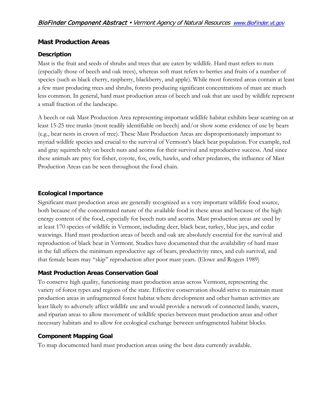### <span id="page-60-0"></span>**Mast Production Areas**

### **Description**

Mast is the fruit and seeds of shrubs and trees that are eaten by wildlife. Hard mast refers to nuts (especially those of beech and oak trees), whereas soft mast refers to berries and fruits of a number of species (such as black cherry, raspberry, blackberry, and apple). While most forested areas contain at least a few mast producing trees and shrubs, forests producing significant concentrations of mast are much less common. In general, hard mast production areas of beech and oak that are used by wildlife represent a small fraction of the landscape.

A beech or oak Mast Production Area representing important wildlife habitat exhibits bear scarring on at least 15-25 tree trunks (most readily identifiable on beech) and/or show some evidence of use by bears (e.g., bear nests in crown of tree). These Mast Production Areas are disproportionately important to myriad wildlife species and crucial to the survival of Vermont's black bear population. For example, red and gray squirrels rely on beech nuts and acorns for their survival and reproductive success. And since these animals are prey for fisher, coyote, fox, owls, hawks, and other predators, the influence of Mast Production Areas can be seen throughout the food chain.

### **Ecological Importance**

Significant mast production areas are generally recognized as a very important wildlife food source, both because of the concentrated nature of the available food in these areas and because of the high energy content of the food, especially for beech nuts and acorns. Mast production areas are used by at least 170 species of wildlife in Vermont, including deer, black bear, turkey, blue jays, and cedar waxwings. Hard mast production areas of beech and oak are absolutely essential for the survival and reproduction of black bear in Vermont. Studies have documented that the availability of hard mast in the fall affects the minimum reproductive age of bears, productivity rates, and cub survival, and that female bears may "skip" reproduction after poor mast years. (Elowe and Rogers 1989)

### **Mast Production Areas Conservation Goal**

To conserve high quality, functioning mast production areas across Vermont, representing the variety of forest types and regions of the state. Effective conservation should strive to maintain mast production areas in unfragmented forest habitat where development and other human activities are least likely to adversely affect wildlife use and would provide a network of connected lands, waters, and riparian areas to allow movement of wildlife species between mast production areas and other necessary habitats and to allow for ecological exchange between unfragmented habitat blocks.

### **Component Mapping Goal**

To map documented hard mast production areas using the best data currently available.